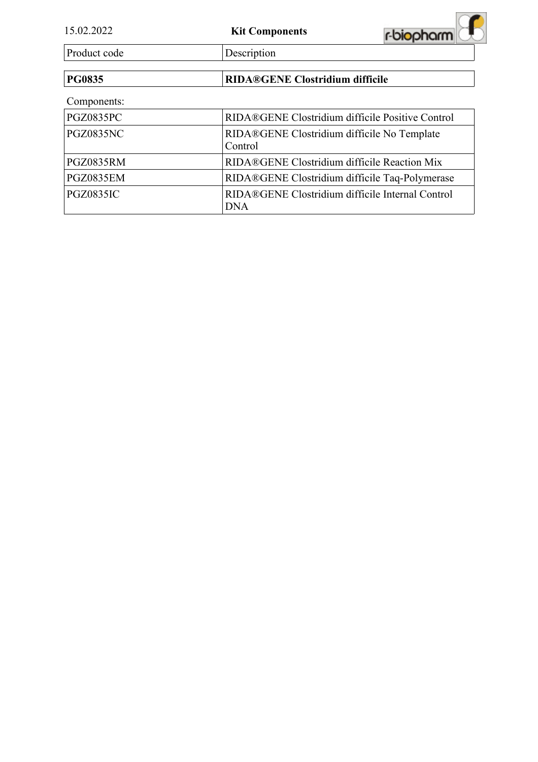| 15.02.2022       | <b>Kit Components</b>                                          | r-biopharm |
|------------------|----------------------------------------------------------------|------------|
| Product code     | Description                                                    |            |
| <b>PG0835</b>    | <b>RIDA®GENE Clostridium difficile</b>                         |            |
| Components:      |                                                                |            |
| <b>PGZ0835PC</b> | RIDA®GENE Clostridium difficile Positive Control               |            |
| <b>PGZ0835NC</b> | RIDA®GENE Clostridium difficile No Template<br>Control         |            |
| <b>PGZ0835RM</b> | RIDA®GENE Clostridium difficile Reaction Mix                   |            |
| <b>PGZ0835EM</b> | RIDA®GENE Clostridium difficile Taq-Polymerase                 |            |
| <b>PGZ0835IC</b> | RIDA®GENE Clostridium difficile Internal Control<br><b>DNA</b> |            |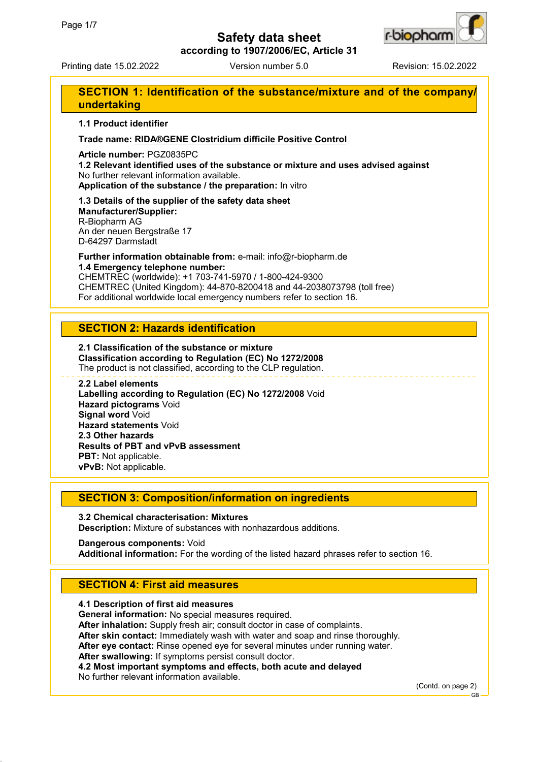

**according to 1907/2006/EC, Article 31**

Printing date 15.02.2022 Version number 5.0 Revision: 15.02.2022

# **SECTION 1: Identification of the substance/mixture and of the company/ undertaking**

### **1.1 Product identifier**

### **Trade name: RIDA®GENE Clostridium difficile Positive Control**

**Article number:** PGZ0835PC

**1.2 Relevant identified uses of the substance or mixture and uses advised against** No further relevant information available.

**Application of the substance / the preparation:** In vitro

**1.3 Details of the supplier of the safety data sheet Manufacturer/Supplier:** R-Biopharm AG An der neuen Bergstraße 17 D-64297 Darmstadt

**Further information obtainable from:** e-mail: info@r-biopharm.de **1.4 Emergency telephone number:**

CHEMTREC (worldwide): +1 703-741-5970 / 1-800-424-9300 CHEMTREC (United Kingdom): 44-870-8200418 and 44-2038073798 (toll free) For additional worldwide local emergency numbers refer to section 16.

## **SECTION 2: Hazards identification**

**2.1 Classification of the substance or mixture Classification according to Regulation (EC) No 1272/2008** The product is not classified, according to the CLP regulation.

#### **2.2 Label elements**

**Labelling according to Regulation (EC) No 1272/2008** Void **Hazard pictograms** Void **Signal word** Void **Hazard statements** Void **2.3 Other hazards Results of PBT and vPvB assessment PBT:** Not applicable. **vPvB:** Not applicable.

## **SECTION 3: Composition/information on ingredients**

**3.2 Chemical characterisation: Mixtures Description:** Mixture of substances with nonhazardous additions.

**Dangerous components:** Void **Additional information:** For the wording of the listed hazard phrases refer to section 16.

# **SECTION 4: First aid measures**

**4.1 Description of first aid measures General information:** No special measures required. **After inhalation:** Supply fresh air; consult doctor in case of complaints. **After skin contact:** Immediately wash with water and soap and rinse thoroughly. **After eye contact:** Rinse opened eye for several minutes under running water. **After swallowing:** If symptoms persist consult doctor. **4.2 Most important symptoms and effects, both acute and delayed** No further relevant information available.

(Contd. on page 2)

GB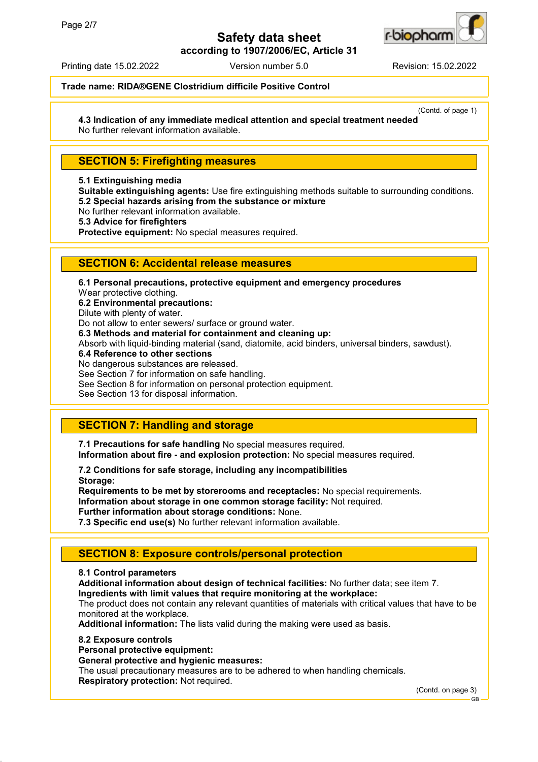

**according to 1907/2006/EC, Article 31**

Printing date 15.02.2022 Version number 5.0 Revision: 15.02.2022

### **Trade name: RIDA®GENE Clostridium difficile Positive Control**

(Contd. of page 1) **4.3 Indication of any immediate medical attention and special treatment needed**

No further relevant information available.

# **SECTION 5: Firefighting measures**

### **5.1 Extinguishing media**

**Suitable extinguishing agents:** Use fire extinguishing methods suitable to surrounding conditions. **5.2 Special hazards arising from the substance or mixture**

No further relevant information available.

**5.3 Advice for firefighters**

**Protective equipment:** No special measures required.

## **SECTION 6: Accidental release measures**

**6.1 Personal precautions, protective equipment and emergency procedures** Wear protective clothing. **6.2 Environmental precautions:** Dilute with plenty of water. Do not allow to enter sewers/ surface or ground water. **6.3 Methods and material for containment and cleaning up:** Absorb with liquid-binding material (sand, diatomite, acid binders, universal binders, sawdust). **6.4 Reference to other sections** No dangerous substances are released. See Section 7 for information on safe handling. See Section 8 for information on personal protection equipment. See Section 13 for disposal information.

# **SECTION 7: Handling and storage**

**7.1 Precautions for safe handling** No special measures required. **Information about fire - and explosion protection:** No special measures required.

**7.2 Conditions for safe storage, including any incompatibilities Storage:**

**Requirements to be met by storerooms and receptacles:** No special requirements. **Information about storage in one common storage facility:** Not required. **Further information about storage conditions:** None.

**7.3 Specific end use(s)** No further relevant information available.

# **SECTION 8: Exposure controls/personal protection**

### **8.1 Control parameters**

**Additional information about design of technical facilities:** No further data; see item 7. **Ingredients with limit values that require monitoring at the workplace:**

The product does not contain any relevant quantities of materials with critical values that have to be monitored at the workplace.

**Additional information:** The lists valid during the making were used as basis.

### **8.2 Exposure controls**

**Personal protective equipment:**

### **General protective and hygienic measures:**

The usual precautionary measures are to be adhered to when handling chemicals. **Respiratory protection:** Not required.

(Contd. on page 3)

GB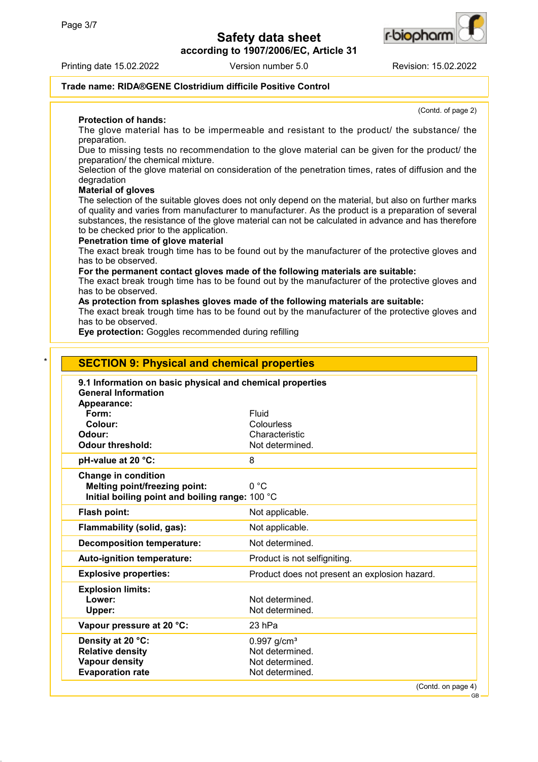**according to 1907/2006/EC, Article 31**





r-b**io**ohan

(Contd. of page 2)

### **Trade name: RIDA®GENE Clostridium difficile Positive Control**

**Protection of hands:**

The glove material has to be impermeable and resistant to the product/ the substance/ the preparation.

Due to missing tests no recommendation to the glove material can be given for the product/ the preparation/ the chemical mixture.

Selection of the glove material on consideration of the penetration times, rates of diffusion and the degradation

#### **Material of gloves**

The selection of the suitable gloves does not only depend on the material, but also on further marks of quality and varies from manufacturer to manufacturer. As the product is a preparation of several substances, the resistance of the glove material can not be calculated in advance and has therefore to be checked prior to the application.

#### **Penetration time of glove material**

The exact break trough time has to be found out by the manufacturer of the protective gloves and has to be observed.

**For the permanent contact gloves made of the following materials are suitable:**

The exact break trough time has to be found out by the manufacturer of the protective gloves and has to be observed.

**As protection from splashes gloves made of the following materials are suitable:**

The exact break trough time has to be found out by the manufacturer of the protective gloves and has to be observed.

**Eye protection:** Goggles recommended during refilling

| <b>General Information</b><br>Appearance:<br>Fluid<br>Form:<br>Colour:<br>Colourless<br>Odour:<br>Characteristic<br><b>Odour threshold:</b><br>pH-value at 20 °C:<br>8<br><b>Change in condition</b><br>0 °C<br><b>Melting point/freezing point:</b><br>Initial boiling point and boiling range: 100 °C<br>Flash point:<br>Not applicable.<br>Flammability (solid, gas):<br>Not applicable.<br><b>Decomposition temperature:</b><br>Auto-ignition temperature:<br><b>Explosive properties:</b><br><b>Explosion limits:</b><br>Lower: | Not determined.<br>Not determined.            |
|--------------------------------------------------------------------------------------------------------------------------------------------------------------------------------------------------------------------------------------------------------------------------------------------------------------------------------------------------------------------------------------------------------------------------------------------------------------------------------------------------------------------------------------|-----------------------------------------------|
|                                                                                                                                                                                                                                                                                                                                                                                                                                                                                                                                      |                                               |
|                                                                                                                                                                                                                                                                                                                                                                                                                                                                                                                                      |                                               |
|                                                                                                                                                                                                                                                                                                                                                                                                                                                                                                                                      |                                               |
|                                                                                                                                                                                                                                                                                                                                                                                                                                                                                                                                      |                                               |
|                                                                                                                                                                                                                                                                                                                                                                                                                                                                                                                                      |                                               |
|                                                                                                                                                                                                                                                                                                                                                                                                                                                                                                                                      |                                               |
|                                                                                                                                                                                                                                                                                                                                                                                                                                                                                                                                      |                                               |
|                                                                                                                                                                                                                                                                                                                                                                                                                                                                                                                                      |                                               |
|                                                                                                                                                                                                                                                                                                                                                                                                                                                                                                                                      |                                               |
|                                                                                                                                                                                                                                                                                                                                                                                                                                                                                                                                      |                                               |
|                                                                                                                                                                                                                                                                                                                                                                                                                                                                                                                                      |                                               |
|                                                                                                                                                                                                                                                                                                                                                                                                                                                                                                                                      |                                               |
|                                                                                                                                                                                                                                                                                                                                                                                                                                                                                                                                      | Product is not selfigniting.                  |
|                                                                                                                                                                                                                                                                                                                                                                                                                                                                                                                                      | Product does not present an explosion hazard. |
|                                                                                                                                                                                                                                                                                                                                                                                                                                                                                                                                      |                                               |
|                                                                                                                                                                                                                                                                                                                                                                                                                                                                                                                                      | Not determined.                               |
| Upper:                                                                                                                                                                                                                                                                                                                                                                                                                                                                                                                               | Not determined.                               |
| Vapour pressure at 20 °C:<br>23 hPa                                                                                                                                                                                                                                                                                                                                                                                                                                                                                                  |                                               |
| Density at 20 °C:<br>$0.997$ g/cm <sup>3</sup>                                                                                                                                                                                                                                                                                                                                                                                                                                                                                       |                                               |
| <b>Relative density</b>                                                                                                                                                                                                                                                                                                                                                                                                                                                                                                              | Not determined.                               |
| <b>Vapour density</b><br><b>Evaporation rate</b>                                                                                                                                                                                                                                                                                                                                                                                                                                                                                     | Not determined.                               |

GB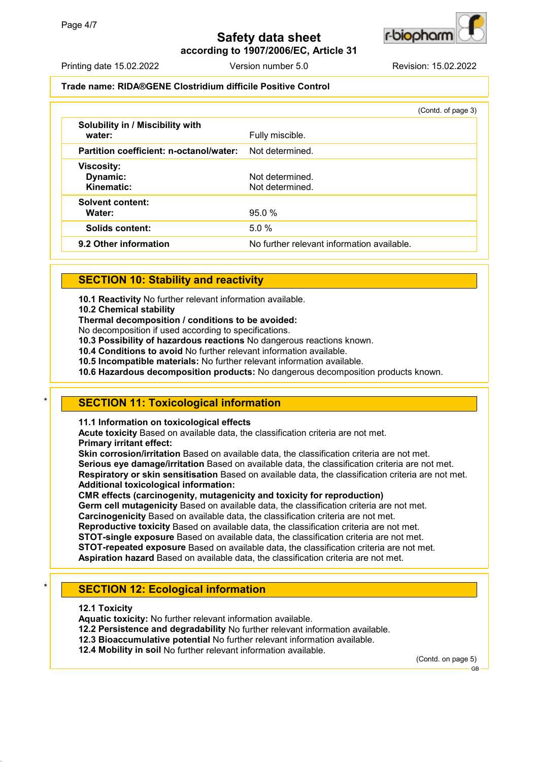**according to 1907/2006/EC, Article 31**



### **Trade name: RIDA®GENE Clostridium difficile Positive Control**

|                                             | (Contd. of page 3)                         |
|---------------------------------------------|--------------------------------------------|
| Solubility in / Miscibility with<br>water:  | Fully miscible.                            |
| Partition coefficient: n-octanol/water:     | Not determined.                            |
| <b>Viscosity:</b><br>Dynamic:<br>Kinematic: | Not determined.<br>Not determined.         |
| <b>Solvent content:</b><br>Water:           | 95.0%                                      |
| Solids content:                             | 5.0%                                       |
| 9.2 Other information                       | No further relevant information available. |

## **SECTION 10: Stability and reactivity**

**10.1 Reactivity** No further relevant information available.

**10.2 Chemical stability**

**Thermal decomposition / conditions to be avoided:**

No decomposition if used according to specifications.

**10.3 Possibility of hazardous reactions** No dangerous reactions known.

**10.4 Conditions to avoid** No further relevant information available.

**10.5 Incompatible materials:** No further relevant information available.

**10.6 Hazardous decomposition products:** No dangerous decomposition products known.

## **SECTION 11: Toxicological information**

**11.1 Information on toxicological effects**

**Acute toxicity** Based on available data, the classification criteria are not met. **Primary irritant effect:**

**Skin corrosion/irritation** Based on available data, the classification criteria are not met. **Serious eye damage/irritation** Based on available data, the classification criteria are not met. **Respiratory or skin sensitisation** Based on available data, the classification criteria are not met. **Additional toxicological information:**

**CMR effects (carcinogenity, mutagenicity and toxicity for reproduction) Germ cell mutagenicity** Based on available data, the classification criteria are not met.

**Carcinogenicity** Based on available data, the classification criteria are not met.

**Reproductive toxicity** Based on available data, the classification criteria are not met.

**STOT-single exposure** Based on available data, the classification criteria are not met.

**STOT-repeated exposure** Based on available data, the classification criteria are not met.

**Aspiration hazard** Based on available data, the classification criteria are not met.

# **SECTION 12: Ecological information**

**12.1 Toxicity**

**Aquatic toxicity:** No further relevant information available.

**12.2 Persistence and degradability** No further relevant information available.

**12.3 Bioaccumulative potential** No further relevant information available.

**12.4 Mobility in soil** No further relevant information available.

(Contd. on page 5)



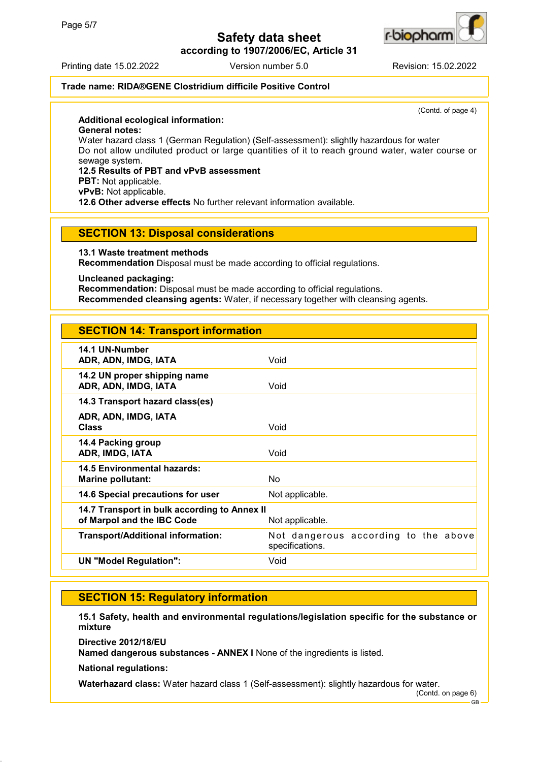**according to 1907/2006/EC, Article 31**



#### Printing date 15.02.2022 Version number 5.0 Revision: 15.02.2022

## **Trade name: RIDA®GENE Clostridium difficile Positive Control**

(Contd. of page 4)

### **Additional ecological information:**

**General notes:**

Water hazard class 1 (German Regulation) (Self-assessment): slightly hazardous for water Do not allow undiluted product or large quantities of it to reach ground water, water course or sewage system.

## **12.5 Results of PBT and vPvB assessment**

**PBT:** Not applicable.

**vPvB:** Not applicable.

**12.6 Other adverse effects** No further relevant information available.

### **SECTION 13: Disposal considerations**

**13.1 Waste treatment methods**

**Recommendation** Disposal must be made according to official regulations.

**Uncleaned packaging:**

**Recommendation:** Disposal must be made according to official regulations. **Recommended cleansing agents:** Water, if necessary together with cleansing agents.

# **SECTION 14: Transport information**

| 14.1 UN-Number<br>ADR, ADN, IMDG, IATA                                     | Void                                                    |
|----------------------------------------------------------------------------|---------------------------------------------------------|
| 14.2 UN proper shipping name<br>ADR, ADN, IMDG, IATA                       | Void                                                    |
| 14.3 Transport hazard class(es)                                            |                                                         |
| ADR, ADN, IMDG, IATA<br><b>Class</b>                                       | Void                                                    |
| 14.4 Packing group<br>ADR, IMDG, IATA                                      | Void                                                    |
| <b>14.5 Environmental hazards:</b><br>Marine pollutant:                    | No                                                      |
| 14.6 Special precautions for user                                          | Not applicable.                                         |
| 14.7 Transport in bulk according to Annex II<br>of Marpol and the IBC Code | Not applicable.                                         |
| <b>Transport/Additional information:</b>                                   | Not dangerous according to the above<br>specifications. |
| <b>UN "Model Regulation":</b>                                              | Void                                                    |
|                                                                            |                                                         |

## **SECTION 15: Regulatory information**

**15.1 Safety, health and environmental regulations/legislation specific for the substance or mixture**

**Directive 2012/18/EU**

**Named dangerous substances - ANNEX I** None of the ingredients is listed.

**National regulations:**

**Waterhazard class:** Water hazard class 1 (Self-assessment): slightly hazardous for water.

(Contd. on page 6)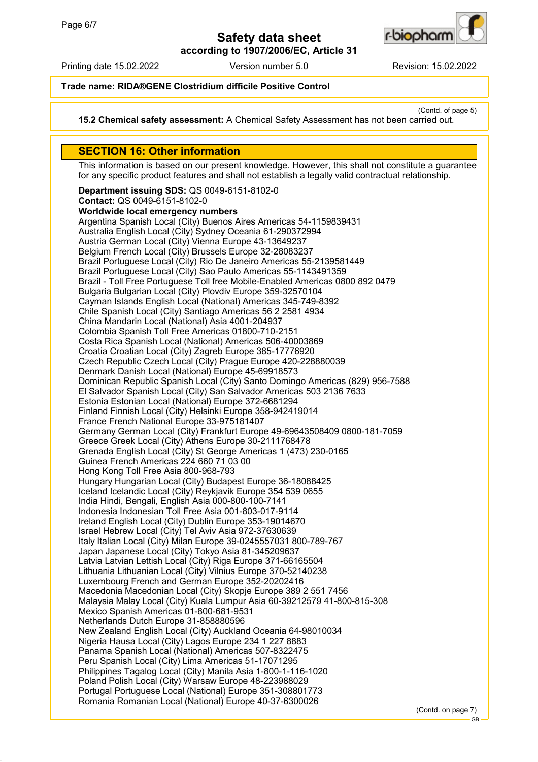

**according to 1907/2006/EC, Article 31**

Printing date 15.02.2022 Version number 5.0 Revision: 15.02.2022

## **Trade name: RIDA®GENE Clostridium difficile Positive Control**

(Contd. of page 5)

**15.2 Chemical safety assessment:** A Chemical Safety Assessment has not been carried out.

## **SECTION 16: Other information**

This information is based on our present knowledge. However, this shall not constitute a guarantee for any specific product features and shall not establish a legally valid contractual relationship.

**Department issuing SDS:** QS 0049-6151-8102-0 **Contact:** QS 0049-6151-8102-0 **Worldwide local emergency numbers** Argentina Spanish Local (City) Buenos Aires Americas 54-1159839431 Australia English Local (City) Sydney Oceania 61-290372994 Austria German Local (City) Vienna Europe 43-13649237 Belgium French Local (City) Brussels Europe 32-28083237 Brazil Portuguese Local (City) Rio De Janeiro Americas 55-2139581449 Brazil Portuguese Local (City) Sao Paulo Americas 55-1143491359 Brazil - Toll Free Portuguese Toll free Mobile-Enabled Americas 0800 892 0479 Bulgaria Bulgarian Local (City) Plovdiv Europe 359-32570104 Cayman Islands English Local (National) Americas 345-749-8392 Chile Spanish Local (City) Santiago Americas 56 2 2581 4934 China Mandarin Local (National) Asia 4001-204937 Colombia Spanish Toll Free Americas 01800-710-2151 Costa Rica Spanish Local (National) Americas 506-40003869 Croatia Croatian Local (City) Zagreb Europe 385-17776920 Czech Republic Czech Local (City) Prague Europe 420-228880039 Denmark Danish Local (National) Europe 45-69918573 Dominican Republic Spanish Local (City) Santo Domingo Americas (829) 956-7588 El Salvador Spanish Local (City) San Salvador Americas 503 2136 7633 Estonia Estonian Local (National) Europe 372-6681294 Finland Finnish Local (City) Helsinki Europe 358-942419014 France French National Europe 33-975181407 Germany German Local (City) Frankfurt Europe 49-69643508409 0800-181-7059 Greece Greek Local (City) Athens Europe 30-2111768478 Grenada English Local (City) St George Americas 1 (473) 230-0165 Guinea French Americas 224 660 71 03 00 Hong Kong Toll Free Asia 800-968-793 Hungary Hungarian Local (City) Budapest Europe 36-18088425 Iceland Icelandic Local (City) Reykjavik Europe 354 539 0655 India Hindi, Bengali, English Asia 000-800-100-7141 Indonesia Indonesian Toll Free Asia 001-803-017-9114 Ireland English Local (City) Dublin Europe 353-19014670 Israel Hebrew Local (City) Tel Aviv Asia 972-37630639 Italy Italian Local (City) Milan Europe 39-0245557031 800-789-767 Japan Japanese Local (City) Tokyo Asia 81-345209637 Latvia Latvian Lettish Local (City) Riga Europe 371-66165504 Lithuania Lithuanian Local (City) Vilnius Europe 370-52140238 Luxembourg French and German Europe 352-20202416 Macedonia Macedonian Local (City) Skopje Europe 389 2 551 7456 Malaysia Malay Local (City) Kuala Lumpur Asia 60-39212579 41-800-815-308 Mexico Spanish Americas 01-800-681-9531 Netherlands Dutch Europe 31-858880596 New Zealand English Local (City) Auckland Oceania 64-98010034 Nigeria Hausa Local (City) Lagos Europe 234 1 227 8883 Panama Spanish Local (National) Americas 507-8322475 Peru Spanish Local (City) Lima Americas 51-17071295 Philippines Tagalog Local (City) Manila Asia 1-800-1-116-1020 Poland Polish Local (City) Warsaw Europe 48-223988029 Portugal Portuguese Local (National) Europe 351-308801773 Romania Romanian Local (National) Europe 40-37-6300026

(Contd. on page 7)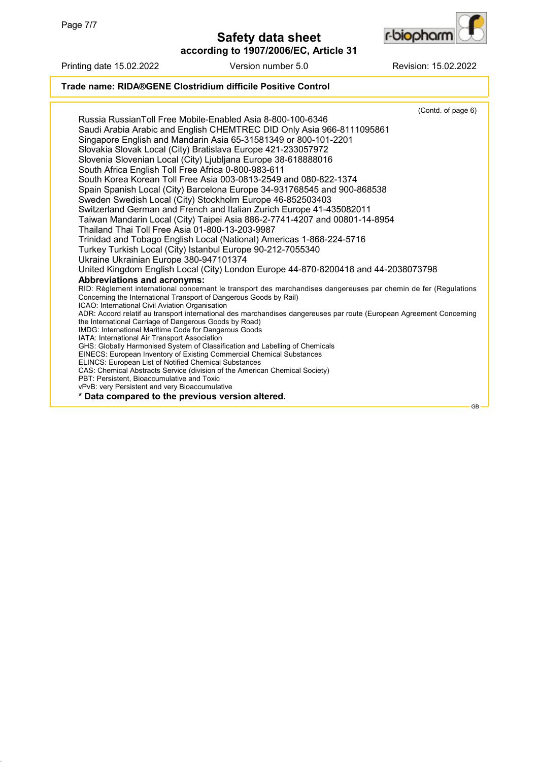



Printing date 15.02.2022 Version number 5.0 Revision: 15.02.2022

## **Trade name: RIDA®GENE Clostridium difficile Positive Control**

(Contd. of page 6) Russia RussianToll Free Mobile-Enabled Asia 8-800-100-6346 Saudi Arabia Arabic and English CHEMTREC DID Only Asia 966-8111095861 Singapore English and Mandarin Asia 65-31581349 or 800-101-2201 Slovakia Slovak Local (City) Bratislava Europe 421-233057972 Slovenia Slovenian Local (City) Ljubljana Europe 38-618888016 South Africa English Toll Free Africa 0-800-983-611 South Korea Korean Toll Free Asia 003-0813-2549 and 080-822-1374 Spain Spanish Local (City) Barcelona Europe 34-931768545 and 900-868538 Sweden Swedish Local (City) Stockholm Europe 46-852503403 Switzerland German and French and Italian Zurich Europe 41-435082011 Taiwan Mandarin Local (City) Taipei Asia 886-2-7741-4207 and 00801-14-8954 Thailand Thai Toll Free Asia 01-800-13-203-9987 Trinidad and Tobago English Local (National) Americas 1-868-224-5716 Turkey Turkish Local (City) Istanbul Europe 90-212-7055340 Ukraine Ukrainian Europe 380-947101374 United Kingdom English Local (City) London Europe 44-870-8200418 and 44-2038073798 **Abbreviations and acronyms:** RID: Règlement international concernant le transport des marchandises dangereuses par chemin de fer (Regulations Concerning the International Transport of Dangerous Goods by Rail) ICAO: International Civil Aviation Organisation ADR: Accord relatif au transport international des marchandises dangereuses par route (European Agreement Concerning the International Carriage of Dangerous Goods by Road) IMDG: International Maritime Code for Dangerous Goods IATA: International Air Transport Association GHS: Globally Harmonised System of Classification and Labelling of Chemicals EINECS: European Inventory of Existing Commercial Chemical Substances ELINCS: European List of Notified Chemical Substances CAS: Chemical Abstracts Service (division of the American Chemical Society) PBT: Persistent, Bioaccumulative and Toxic vPvB: very Persistent and very Bioaccumulative **\* Data compared to the previous version altered.** GB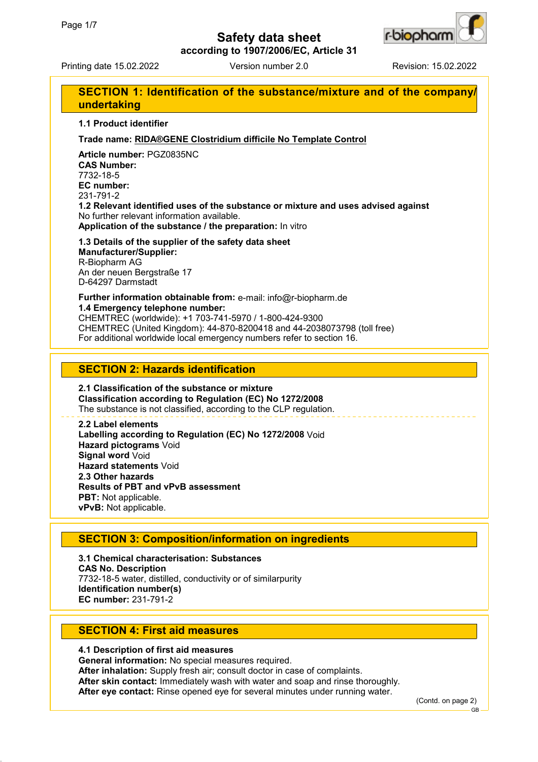

**according to 1907/2006/EC, Article 31**

Printing date 15.02.2022 Version number 2.0 Revision: 15.02.2022

| SECTION 1: Identification of the substance/mixture and of the company/<br>undertaking                                                                                                                                                                                                                            |
|------------------------------------------------------------------------------------------------------------------------------------------------------------------------------------------------------------------------------------------------------------------------------------------------------------------|
| 1.1 Product identifier                                                                                                                                                                                                                                                                                           |
| Trade name: RIDA®GENE Clostridium difficile No Template Control                                                                                                                                                                                                                                                  |
| Article number: PGZ0835NC<br><b>CAS Number:</b><br>7732-18-5<br>EC number:<br>231-791-2<br>1.2 Relevant identified uses of the substance or mixture and uses advised against<br>No further relevant information available.<br>Application of the substance / the preparation: In vitro                           |
| 1.3 Details of the supplier of the safety data sheet<br><b>Manufacturer/Supplier:</b><br>R-Biopharm AG<br>An der neuen Bergstraße 17<br>D-64297 Darmstadt                                                                                                                                                        |
| Further information obtainable from: e-mail: info@r-biopharm.de<br>1.4 Emergency telephone number:<br>CHEMTREC (worldwide): +1 703-741-5970 / 1-800-424-9300<br>CHEMTREC (United Kingdom): 44-870-8200418 and 44-2038073798 (toll free)<br>For additional worldwide local emergency numbers refer to section 16. |

## **SECTION 2: Hazards identification**

**2.1 Classification of the substance or mixture Classification according to Regulation (EC) No 1272/2008** The substance is not classified, according to the CLP regulation.

**2.2 Label elements Labelling according to Regulation (EC) No 1272/2008** Void **Hazard pictograms** Void **Signal word** Void **Hazard statements** Void **2.3 Other hazards Results of PBT and vPvB assessment PBT:** Not applicable. **vPvB:** Not applicable.

## **SECTION 3: Composition/information on ingredients**

**3.1 Chemical characterisation: Substances CAS No. Description** 7732-18-5 water, distilled, conductivity or of similarpurity **Identification number(s) EC number:** 231-791-2

# **SECTION 4: First aid measures**

**4.1 Description of first aid measures General information:** No special measures required. **After inhalation:** Supply fresh air; consult doctor in case of complaints. **After skin contact:** Immediately wash with water and soap and rinse thoroughly. **After eye contact:** Rinse opened eye for several minutes under running water.

(Contd. on page 2)

GB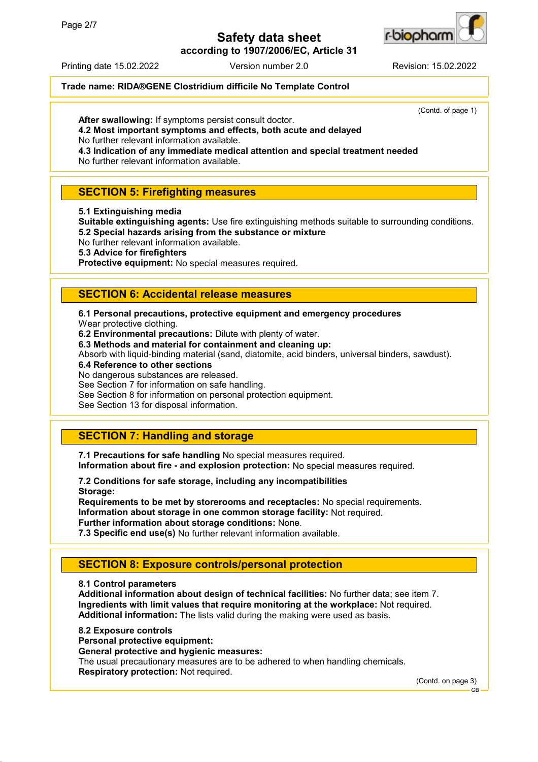**according to 1907/2006/EC, Article 31**



#### Printing date 15.02.2022 Version number 2.0 Revision: 15.02.2022

### **Trade name: RIDA®GENE Clostridium difficile No Template Control**

(Contd. of page 1)

**After swallowing:** If symptoms persist consult doctor.

**4.2 Most important symptoms and effects, both acute and delayed**

No further relevant information available.

**4.3 Indication of any immediate medical attention and special treatment needed**

No further relevant information available.

## **SECTION 5: Firefighting measures**

### **5.1 Extinguishing media**

**Suitable extinguishing agents:** Use fire extinguishing methods suitable to surrounding conditions. **5.2 Special hazards arising from the substance or mixture**

No further relevant information available.

### **5.3 Advice for firefighters**

**Protective equipment:** No special measures required.

## **SECTION 6: Accidental release measures**

# **6.1 Personal precautions, protective equipment and emergency procedures**

Wear protective clothing.

**6.2 Environmental precautions:** Dilute with plenty of water.

**6.3 Methods and material for containment and cleaning up:**

Absorb with liquid-binding material (sand, diatomite, acid binders, universal binders, sawdust).

### **6.4 Reference to other sections**

No dangerous substances are released.

See Section 7 for information on safe handling.

See Section 8 for information on personal protection equipment.

See Section 13 for disposal information.

## **SECTION 7: Handling and storage**

**7.1 Precautions for safe handling** No special measures required. **Information about fire - and explosion protection:** No special measures required.

**7.2 Conditions for safe storage, including any incompatibilities Storage:**

**Requirements to be met by storerooms and receptacles:** No special requirements. **Information about storage in one common storage facility:** Not required. **Further information about storage conditions:** None.

**7.3 Specific end use(s)** No further relevant information available.

# **SECTION 8: Exposure controls/personal protection**

### **8.1 Control parameters**

**Additional information about design of technical facilities:** No further data; see item 7. **Ingredients with limit values that require monitoring at the workplace:** Not required. **Additional information:** The lists valid during the making were used as basis.

### **8.2 Exposure controls**

**Personal protective equipment:**

### **General protective and hygienic measures:**

The usual precautionary measures are to be adhered to when handling chemicals. **Respiratory protection:** Not required.

(Contd. on page 3)

GB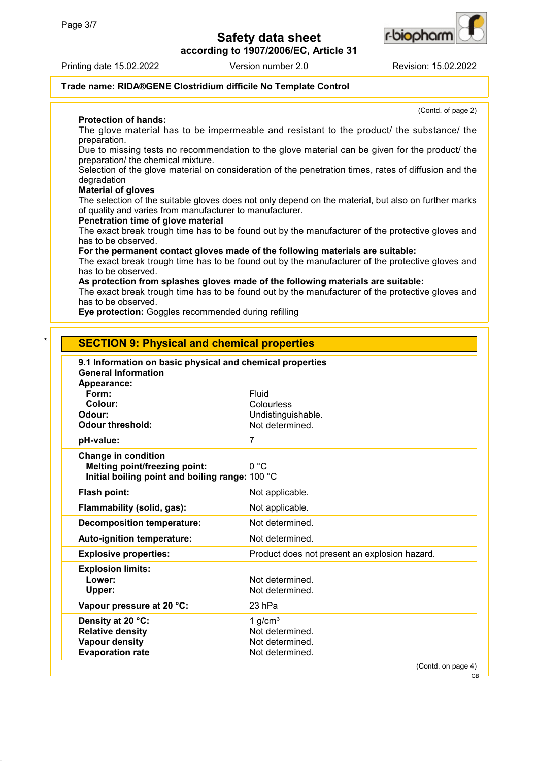**according to 1907/2006/EC, Article 31**



Printing date 15.02.2022 Version number 2.0 Revision: 15.02.2022

(Contd. of page 2)

### **Trade name: RIDA®GENE Clostridium difficile No Template Control**

**Protection of hands:**

The glove material has to be impermeable and resistant to the product/ the substance/ the preparation.

Due to missing tests no recommendation to the glove material can be given for the product/ the preparation/ the chemical mixture.

Selection of the glove material on consideration of the penetration times, rates of diffusion and the degradation

### **Material of gloves**

The selection of the suitable gloves does not only depend on the material, but also on further marks of quality and varies from manufacturer to manufacturer.

### **Penetration time of glove material**

The exact break trough time has to be found out by the manufacturer of the protective gloves and has to be observed.

**For the permanent contact gloves made of the following materials are suitable:**

The exact break trough time has to be found out by the manufacturer of the protective gloves and has to be observed.

### **As protection from splashes gloves made of the following materials are suitable:**

The exact break trough time has to be found out by the manufacturer of the protective gloves and has to be observed.

**Eye protection:** Goggles recommended during refilling

| 9.1 Information on basic physical and chemical properties<br><b>General Information</b> |                                               |
|-----------------------------------------------------------------------------------------|-----------------------------------------------|
| Appearance:                                                                             |                                               |
| Form:                                                                                   | Fluid                                         |
| Colour:                                                                                 | Colourless                                    |
| Odour:                                                                                  | Undistinguishable.                            |
| <b>Odour threshold:</b>                                                                 | Not determined.                               |
| pH-value:                                                                               | 7                                             |
| <b>Change in condition</b>                                                              |                                               |
| <b>Melting point/freezing point:</b>                                                    | 0 °C                                          |
| Initial boiling point and boiling range: 100 °C                                         |                                               |
| Flash point:                                                                            | Not applicable.                               |
| Flammability (solid, gas):                                                              | Not applicable.                               |
| <b>Decomposition temperature:</b>                                                       | Not determined.                               |
| Auto-ignition temperature:                                                              | Not determined.                               |
| <b>Explosive properties:</b>                                                            | Product does not present an explosion hazard. |
| <b>Explosion limits:</b>                                                                |                                               |
| Lower:                                                                                  | Not determined.                               |
| Upper:                                                                                  | Not determined.                               |
| Vapour pressure at 20 °C:                                                               | 23 hPa                                        |
| Density at 20 °C:                                                                       | 1 $g/cm3$                                     |
| <b>Relative density</b>                                                                 | Not determined.                               |
| <b>Vapour density</b>                                                                   | Not determined.                               |

GB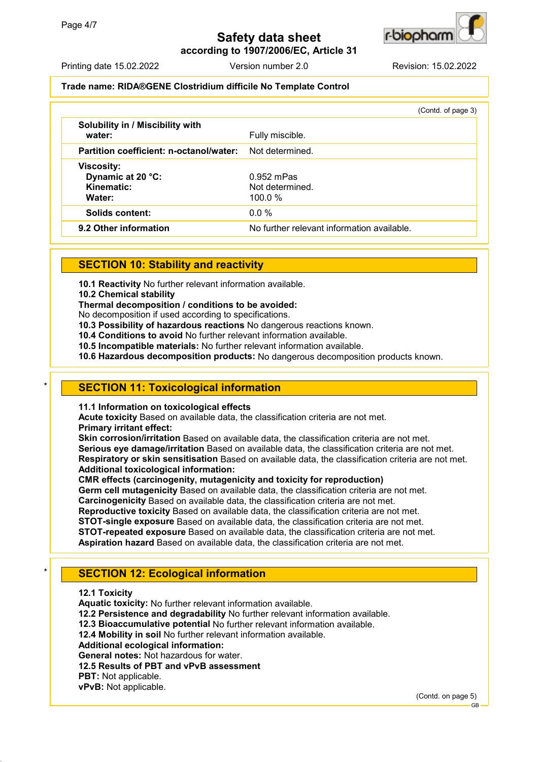

**according to 1907/2006/EC, Article 31**

Printing date 15.02.2022 Version number 2.0 Revision: 15.02.2022

### **Trade name: RIDA®GENE Clostridium difficile No Template Control**

|                                                      | (Contd. of page 3)                         |
|------------------------------------------------------|--------------------------------------------|
| <b>Solubility in / Miscibility with</b><br>water:    | Fully miscible.                            |
| Partition coefficient: n-octanol/water:              | Not determined.                            |
| <b>Viscosity:</b><br>Dynamic at 20 °C:<br>Kinematic: | $0.952$ mPas<br>Not determined.            |
| Water:<br>Solids content:                            | 100.0 $%$<br>$0.0\%$                       |
| 9.2 Other information                                | No further relevant information available. |

## **SECTION 10: Stability and reactivity**

**10.1 Reactivity** No further relevant information available.

**10.2 Chemical stability**

**Thermal decomposition / conditions to be avoided:**

No decomposition if used according to specifications.

**10.3 Possibility of hazardous reactions** No dangerous reactions known.

**10.4 Conditions to avoid** No further relevant information available.

**10.5 Incompatible materials:** No further relevant information available.

**10.6 Hazardous decomposition products:** No dangerous decomposition products known.

### **SECTION 11: Toxicological information**

**11.1 Information on toxicological effects**

**Acute toxicity** Based on available data, the classification criteria are not met. **Primary irritant effect:**

**Skin corrosion/irritation** Based on available data, the classification criteria are not met. **Serious eye damage/irritation** Based on available data, the classification criteria are not met. **Respiratory or skin sensitisation** Based on available data, the classification criteria are not met. **Additional toxicological information:**

**CMR effects (carcinogenity, mutagenicity and toxicity for reproduction)**

**Germ cell mutagenicity** Based on available data, the classification criteria are not met.

**Carcinogenicity** Based on available data, the classification criteria are not met.

**Reproductive toxicity** Based on available data, the classification criteria are not met.

**STOT-single exposure** Based on available data, the classification criteria are not met.

**STOT-repeated exposure** Based on available data, the classification criteria are not met.

**Aspiration hazard** Based on available data, the classification criteria are not met.

# **SECTION 12: Ecological information**

**12.1 Toxicity**

**Aquatic toxicity:** No further relevant information available.

**12.2 Persistence and degradability** No further relevant information available.

**12.3 Bioaccumulative potential** No further relevant information available.

**12.4 Mobility in soil** No further relevant information available.

**Additional ecological information:**

**General notes:** Not hazardous for water.

**12.5 Results of PBT and vPvB assessment**

**vPvB:** Not applicable.

(Contd. on page 5)

**PBT:** Not applicable.

GB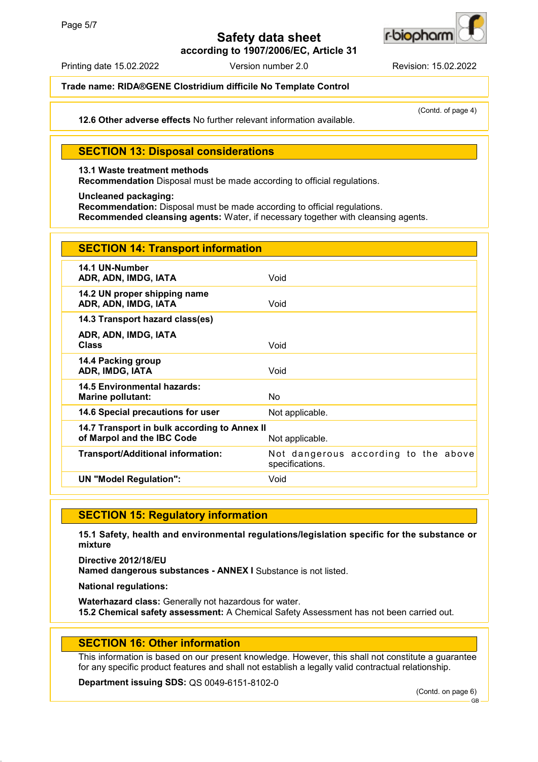

**according to 1907/2006/EC, Article 31**

Printing date 15.02.2022 Version number 2.0 Revision: 15.02.2022

## **Trade name: RIDA®GENE Clostridium difficile No Template Control**

**12.6 Other adverse effects** No further relevant information available.

(Contd. of page 4)

## **SECTION 13: Disposal considerations**

### **13.1 Waste treatment methods**

**Recommendation** Disposal must be made according to official regulations.

### **Uncleaned packaging:**

**Recommendation:** Disposal must be made according to official regulations.

**Recommended cleansing agents:** Water, if necessary together with cleansing agents.

| <b>SECTION 14: Transport information</b>                                   |                                                         |
|----------------------------------------------------------------------------|---------------------------------------------------------|
| 14.1 UN-Number<br>ADR, ADN, IMDG, IATA                                     | Void                                                    |
| 14.2 UN proper shipping name<br>ADR, ADN, IMDG, IATA                       | Void                                                    |
| 14.3 Transport hazard class(es)                                            |                                                         |
| ADR, ADN, IMDG, IATA<br><b>Class</b>                                       | Void                                                    |
| 14.4 Packing group<br>ADR, IMDG, IATA                                      | Void                                                    |
| 14.5 Environmental hazards:<br><b>Marine pollutant:</b>                    | <b>No</b>                                               |
| 14.6 Special precautions for user                                          | Not applicable.                                         |
| 14.7 Transport in bulk according to Annex II<br>of Marpol and the IBC Code | Not applicable.                                         |
| <b>Transport/Additional information:</b>                                   | Not dangerous according to the above<br>specifications. |
| <b>UN "Model Regulation":</b>                                              | Void                                                    |

### **SECTION 15: Regulatory information**

**15.1 Safety, health and environmental regulations/legislation specific for the substance or mixture**

**Directive 2012/18/EU Named dangerous substances - ANNEX I** Substance is not listed.

**National regulations:**

**Waterhazard class:** Generally not hazardous for water. **15.2 Chemical safety assessment:** A Chemical Safety Assessment has not been carried out.

## **SECTION 16: Other information**

This information is based on our present knowledge. However, this shall not constitute a guarantee for any specific product features and shall not establish a legally valid contractual relationship.

**Department issuing SDS:** QS 0049-6151-8102-0

(Contd. on page 6)

GB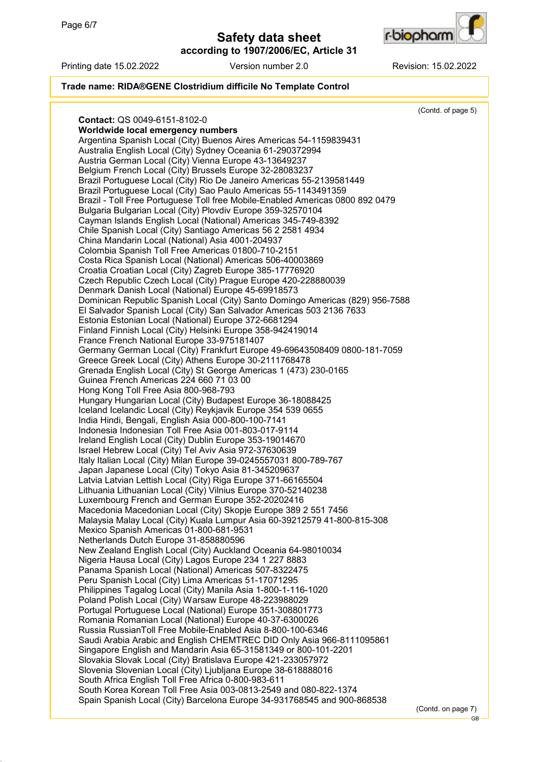**according to 1907/2006/EC, Article 31**



#### Printing date 15.02.2022 Version number 2.0 Revision: 15.02.2022

## **Trade name: RIDA®GENE Clostridium difficile No Template Control**

(Contd. of page 5) **Contact:** QS 0049-6151-8102-0 **Worldwide local emergency numbers** Argentina Spanish Local (City) Buenos Aires Americas 54-1159839431 Australia English Local (City) Sydney Oceania 61-290372994 Austria German Local (City) Vienna Europe 43-13649237 Belgium French Local (City) Brussels Europe 32-28083237 Brazil Portuguese Local (City) Rio De Janeiro Americas 55-2139581449 Brazil Portuguese Local (City) Sao Paulo Americas 55-1143491359 Brazil - Toll Free Portuguese Toll free Mobile-Enabled Americas 0800 892 0479 Bulgaria Bulgarian Local (City) Plovdiv Europe 359-32570104 Cayman Islands English Local (National) Americas 345-749-8392 Chile Spanish Local (City) Santiago Americas 56 2 2581 4934 China Mandarin Local (National) Asia 4001-204937 Colombia Spanish Toll Free Americas 01800-710-2151 Costa Rica Spanish Local (National) Americas 506-40003869 Croatia Croatian Local (City) Zagreb Europe 385-17776920 Czech Republic Czech Local (City) Prague Europe 420-228880039 Denmark Danish Local (National) Europe 45-69918573 Dominican Republic Spanish Local (City) Santo Domingo Americas (829) 956-7588 El Salvador Spanish Local (City) San Salvador Americas 503 2136 7633 Estonia Estonian Local (National) Europe 372-6681294 Finland Finnish Local (City) Helsinki Europe 358-942419014 France French National Europe 33-975181407 Germany German Local (City) Frankfurt Europe 49-69643508409 0800-181-7059 Greece Greek Local (City) Athens Europe 30-2111768478 Grenada English Local (City) St George Americas 1 (473) 230-0165 Guinea French Americas 224 660 71 03 00 Hong Kong Toll Free Asia 800-968-793 Hungary Hungarian Local (City) Budapest Europe 36-18088425 Iceland Icelandic Local (City) Reykjavik Europe 354 539 0655 India Hindi, Bengali, English Asia 000-800-100-7141 Indonesia Indonesian Toll Free Asia 001-803-017-9114 Ireland English Local (City) Dublin Europe 353-19014670 Israel Hebrew Local (City) Tel Aviv Asia 972-37630639 Italy Italian Local (City) Milan Europe 39-0245557031 800-789-767 Japan Japanese Local (City) Tokyo Asia 81-345209637 Latvia Latvian Lettish Local (City) Riga Europe 371-66165504 Lithuania Lithuanian Local (City) Vilnius Europe 370-52140238 Luxembourg French and German Europe 352-20202416 Macedonia Macedonian Local (City) Skopje Europe 389 2 551 7456 Malaysia Malay Local (City) Kuala Lumpur Asia 60-39212579 41-800-815-308 Mexico Spanish Americas 01-800-681-9531 Netherlands Dutch Europe 31-858880596 New Zealand English Local (City) Auckland Oceania 64-98010034 Nigeria Hausa Local (City) Lagos Europe 234 1 227 8883 Panama Spanish Local (National) Americas 507-8322475 Peru Spanish Local (City) Lima Americas 51-17071295 Philippines Tagalog Local (City) Manila Asia 1-800-1-116-1020 Poland Polish Local (City) Warsaw Europe 48-223988029 Portugal Portuguese Local (National) Europe 351-308801773 Romania Romanian Local (National) Europe 40-37-6300026 Russia RussianToll Free Mobile-Enabled Asia 8-800-100-6346 Saudi Arabia Arabic and English CHEMTREC DID Only Asia 966-8111095861 Singapore English and Mandarin Asia 65-31581349 or 800-101-2201 Slovakia Slovak Local (City) Bratislava Europe 421-233057972 Slovenia Slovenian Local (City) Ljubljana Europe 38-618888016 South Africa English Toll Free Africa 0-800-983-611 South Korea Korean Toll Free Asia 003-0813-2549 and 080-822-1374 Spain Spanish Local (City) Barcelona Europe 34-931768545 and 900-868538 (Contd. on page 7)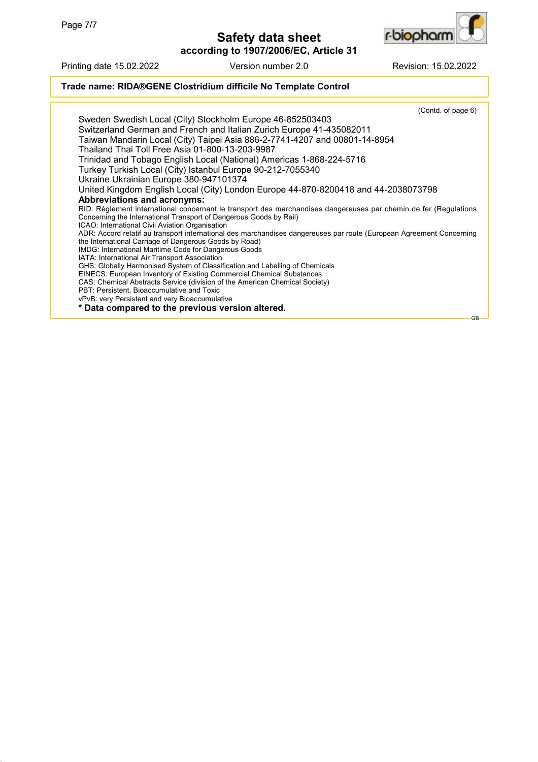

**according to 1907/2006/EC, Article 31**

Printing date 15.02.2022 Version number 2.0 Revision: 15.02.2022

### **Trade name: RIDA®GENE Clostridium difficile No Template Control**

(Contd. of page 6) Sweden Swedish Local (City) Stockholm Europe 46-852503403 Switzerland German and French and Italian Zurich Europe 41-435082011 Taiwan Mandarin Local (City) Taipei Asia 886-2-7741-4207 and 00801-14-8954 Thailand Thai Toll Free Asia 01-800-13-203-9987 Trinidad and Tobago English Local (National) Americas 1-868-224-5716 Turkey Turkish Local (City) Istanbul Europe 90-212-7055340 Ukraine Ukrainian Europe 380-947101374 United Kingdom English Local (City) London Europe 44-870-8200418 and 44-2038073798 **Abbreviations and acronyms:** RID: Règlement international concernant le transport des marchandises dangereuses par chemin de fer (Regulations Concerning the International Transport of Dangerous Goods by Rail) ICAO: International Civil Aviation Organisation ADR: Accord relatif au transport international des marchandises dangereuses par route (European Agreement Concerning the International Carriage of Dangerous Goods by Road) IMDG: International Maritime Code for Dangerous Goods IATA: International Air Transport Association GHS: Globally Harmonised System of Classification and Labelling of Chemicals EINECS: European Inventory of Existing Commercial Chemical Substances CAS: Chemical Abstracts Service (division of the American Chemical Society) PBT: Persistent, Bioaccumulative and Toxic vPvB: very Persistent and very Bioaccumulative **\* Data compared to the previous version altered.**

GB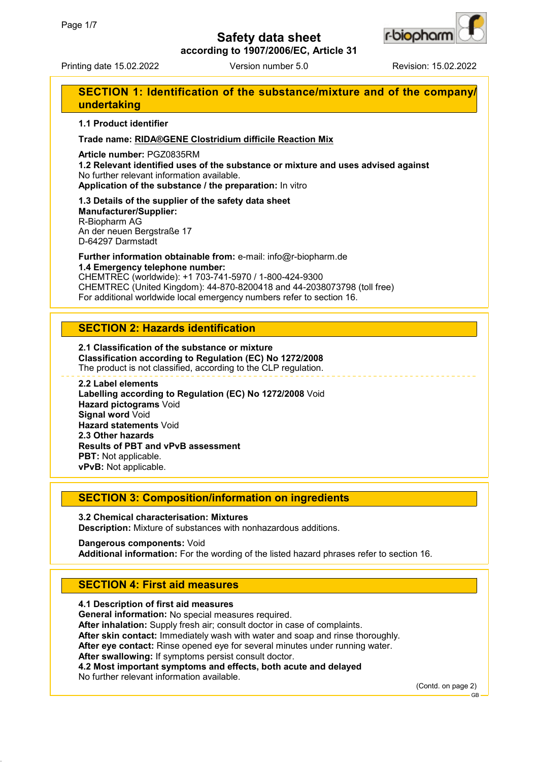

**according to 1907/2006/EC, Article 31**

Printing date 15.02.2022 Version number 5.0 Revision: 15.02.2022

# **SECTION 1: Identification of the substance/mixture and of the company/ undertaking**

### **1.1 Product identifier**

### **Trade name: RIDA®GENE Clostridium difficile Reaction Mix**

**Article number:** PGZ0835RM

**1.2 Relevant identified uses of the substance or mixture and uses advised against** No further relevant information available.

**Application of the substance / the preparation:** In vitro

**1.3 Details of the supplier of the safety data sheet Manufacturer/Supplier:** R-Biopharm AG An der neuen Bergstraße 17 D-64297 Darmstadt

**Further information obtainable from:** e-mail: info@r-biopharm.de **1.4 Emergency telephone number:**

CHEMTREC (worldwide): +1 703-741-5970 / 1-800-424-9300 CHEMTREC (United Kingdom): 44-870-8200418 and 44-2038073798 (toll free) For additional worldwide local emergency numbers refer to section 16.

## **SECTION 2: Hazards identification**

**2.1 Classification of the substance or mixture Classification according to Regulation (EC) No 1272/2008** The product is not classified, according to the CLP regulation.

#### **2.2 Label elements**

**Labelling according to Regulation (EC) No 1272/2008** Void **Hazard pictograms** Void **Signal word** Void **Hazard statements** Void **2.3 Other hazards Results of PBT and vPvB assessment PBT:** Not applicable. **vPvB:** Not applicable.

## **SECTION 3: Composition/information on ingredients**

**3.2 Chemical characterisation: Mixtures Description:** Mixture of substances with nonhazardous additions.

**Dangerous components:** Void **Additional information:** For the wording of the listed hazard phrases refer to section 16.

# **SECTION 4: First aid measures**

**4.1 Description of first aid measures General information:** No special measures required. **After inhalation:** Supply fresh air; consult doctor in case of complaints. **After skin contact:** Immediately wash with water and soap and rinse thoroughly. **After eye contact:** Rinse opened eye for several minutes under running water. **After swallowing:** If symptoms persist consult doctor. **4.2 Most important symptoms and effects, both acute and delayed** No further relevant information available.

(Contd. on page 2)

GB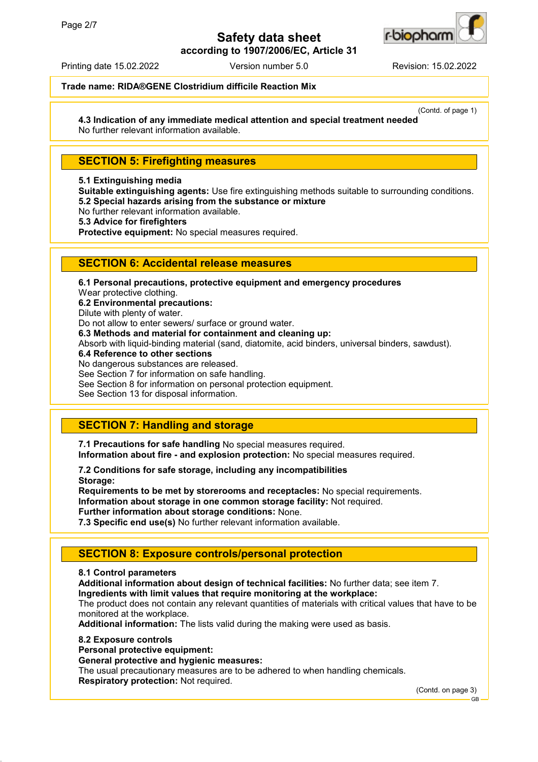

**according to 1907/2006/EC, Article 31**

Printing date 15.02.2022 Version number 5.0 Revision: 15.02.2022

## **Trade name: RIDA®GENE Clostridium difficile Reaction Mix**

(Contd. of page 1) **4.3 Indication of any immediate medical attention and special treatment needed** No further relevant information available.

## **SECTION 5: Firefighting measures**

#### **5.1 Extinguishing media**

**Suitable extinguishing agents:** Use fire extinguishing methods suitable to surrounding conditions. **5.2 Special hazards arising from the substance or mixture**

No further relevant information available.

**5.3 Advice for firefighters**

**Protective equipment:** No special measures required.

### **SECTION 6: Accidental release measures**

**6.1 Personal precautions, protective equipment and emergency procedures** Wear protective clothing. **6.2 Environmental precautions:** Dilute with plenty of water. Do not allow to enter sewers/ surface or ground water. **6.3 Methods and material for containment and cleaning up:** Absorb with liquid-binding material (sand, diatomite, acid binders, universal binders, sawdust). **6.4 Reference to other sections** No dangerous substances are released. See Section 7 for information on safe handling. See Section 8 for information on personal protection equipment. See Section 13 for disposal information.

# **SECTION 7: Handling and storage**

**7.1 Precautions for safe handling** No special measures required. **Information about fire - and explosion protection:** No special measures required.

**7.2 Conditions for safe storage, including any incompatibilities Storage:**

**Requirements to be met by storerooms and receptacles:** No special requirements. **Information about storage in one common storage facility:** Not required. **Further information about storage conditions:** None.

**7.3 Specific end use(s)** No further relevant information available.

## **SECTION 8: Exposure controls/personal protection**

### **8.1 Control parameters**

**Additional information about design of technical facilities:** No further data; see item 7. **Ingredients with limit values that require monitoring at the workplace:**

The product does not contain any relevant quantities of materials with critical values that have to be monitored at the workplace.

**Additional information:** The lists valid during the making were used as basis.

### **8.2 Exposure controls**

**Personal protective equipment:**

### **General protective and hygienic measures:**

The usual precautionary measures are to be adhered to when handling chemicals. **Respiratory protection:** Not required.

(Contd. on page 3)

GB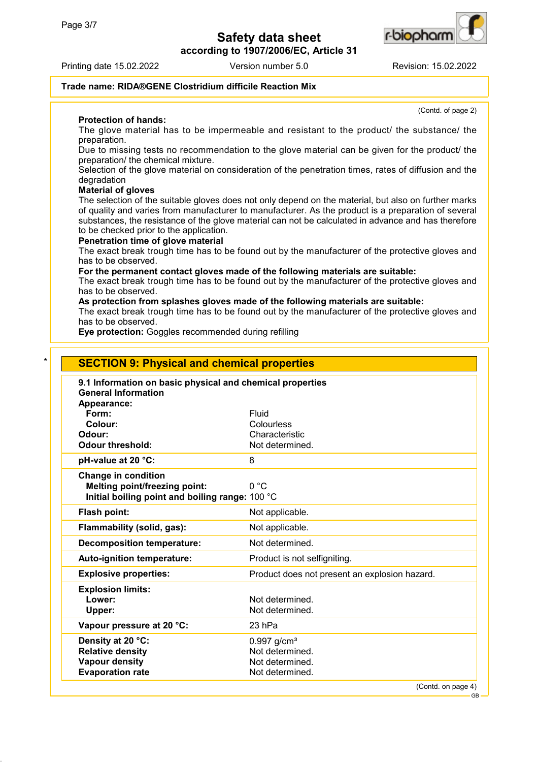**according to 1907/2006/EC, Article 31**



r-b**io**ohan

(Contd. of page 2)

GB

## **Trade name: RIDA®GENE Clostridium difficile Reaction Mix**

**Protection of hands:**

The glove material has to be impermeable and resistant to the product/ the substance/ the preparation.

Due to missing tests no recommendation to the glove material can be given for the product/ the preparation/ the chemical mixture.

Selection of the glove material on consideration of the penetration times, rates of diffusion and the degradation

#### **Material of gloves**

The selection of the suitable gloves does not only depend on the material, but also on further marks of quality and varies from manufacturer to manufacturer. As the product is a preparation of several substances, the resistance of the glove material can not be calculated in advance and has therefore to be checked prior to the application.

#### **Penetration time of glove material**

The exact break trough time has to be found out by the manufacturer of the protective gloves and has to be observed.

**For the permanent contact gloves made of the following materials are suitable:**

The exact break trough time has to be found out by the manufacturer of the protective gloves and has to be observed.

**As protection from splashes gloves made of the following materials are suitable:**

The exact break trough time has to be found out by the manufacturer of the protective gloves and has to be observed.

**Eye protection:** Goggles recommended during refilling

| 9.1 Information on basic physical and chemical properties<br><b>General Information</b> |                                               |
|-----------------------------------------------------------------------------------------|-----------------------------------------------|
| Appearance:                                                                             |                                               |
| Form:                                                                                   | Fluid                                         |
| Colour:                                                                                 | Colourless                                    |
| Odour:                                                                                  | Characteristic                                |
| Odour threshold:                                                                        | Not determined.                               |
| pH-value at 20 °C:                                                                      | 8                                             |
| <b>Change in condition</b>                                                              |                                               |
| <b>Melting point/freezing point:</b>                                                    | 0 °C                                          |
| Initial boiling point and boiling range: 100 °C                                         |                                               |
| Flash point:                                                                            | Not applicable.                               |
| Flammability (solid, gas):                                                              | Not applicable.                               |
| <b>Decomposition temperature:</b>                                                       | Not determined.                               |
| Auto-ignition temperature:                                                              | Product is not selfigniting.                  |
| <b>Explosive properties:</b>                                                            | Product does not present an explosion hazard. |
| <b>Explosion limits:</b>                                                                |                                               |
| Lower:                                                                                  | Not determined.                               |
| Upper:                                                                                  | Not determined.                               |
| Vapour pressure at 20 °C:                                                               | 23 hPa                                        |
| Density at 20 °C:                                                                       | $0.997$ g/cm <sup>3</sup>                     |
| <b>Relative density</b>                                                                 | Not determined.                               |
| <b>Vapour density</b>                                                                   | Not determined.                               |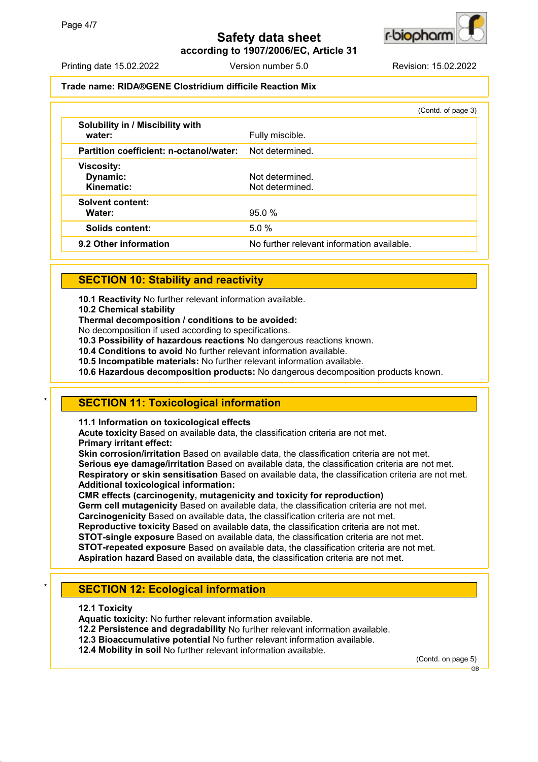**according to 1907/2006/EC, Article 31**



## **Trade name: RIDA®GENE Clostridium difficile Reaction Mix**

|                                             | (Contd. of page 3)                         |
|---------------------------------------------|--------------------------------------------|
| Solubility in / Miscibility with<br>water:  | Fully miscible.                            |
| Partition coefficient: n-octanol/water:     | Not determined.                            |
| <b>Viscosity:</b><br>Dynamic:<br>Kinematic: | Not determined.<br>Not determined.         |
| <b>Solvent content:</b><br>Water:           | 95.0%                                      |
| Solids content:                             | 5.0%                                       |
| 9.2 Other information                       | No further relevant information available. |

## **SECTION 10: Stability and reactivity**

**10.1 Reactivity** No further relevant information available.

**10.2 Chemical stability**

**Thermal decomposition / conditions to be avoided:**

No decomposition if used according to specifications.

**10.3 Possibility of hazardous reactions** No dangerous reactions known.

**10.4 Conditions to avoid** No further relevant information available.

**10.5 Incompatible materials:** No further relevant information available.

**10.6 Hazardous decomposition products:** No dangerous decomposition products known.

## **SECTION 11: Toxicological information**

**11.1 Information on toxicological effects**

**Acute toxicity** Based on available data, the classification criteria are not met. **Primary irritant effect:**

**Skin corrosion/irritation** Based on available data, the classification criteria are not met. **Serious eye damage/irritation** Based on available data, the classification criteria are not met. **Respiratory or skin sensitisation** Based on available data, the classification criteria are not met. **Additional toxicological information:**

**CMR effects (carcinogenity, mutagenicity and toxicity for reproduction) Germ cell mutagenicity** Based on available data, the classification criteria are not met.

**Carcinogenicity** Based on available data, the classification criteria are not met.

**Reproductive toxicity** Based on available data, the classification criteria are not met.

**STOT-single exposure** Based on available data, the classification criteria are not met.

**STOT-repeated exposure** Based on available data, the classification criteria are not met.

**Aspiration hazard** Based on available data, the classification criteria are not met.

# **SECTION 12: Ecological information**

**12.1 Toxicity**

**Aquatic toxicity:** No further relevant information available.

**12.2 Persistence and degradability** No further relevant information available.

**12.3 Bioaccumulative potential** No further relevant information available.

**12.4 Mobility in soil** No further relevant information available.

(Contd. on page 5)



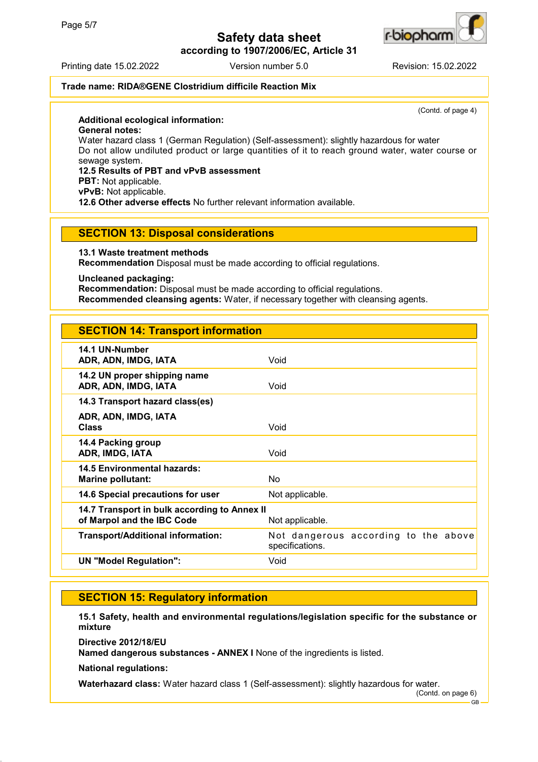**according to 1907/2006/EC, Article 31**



#### Printing date 15.02.2022 Version number 5.0 Revision: 15.02.2022

## **Trade name: RIDA®GENE Clostridium difficile Reaction Mix**

(Contd. of page 4)

### **Additional ecological information:**

**General notes:**

Water hazard class 1 (German Regulation) (Self-assessment): slightly hazardous for water Do not allow undiluted product or large quantities of it to reach ground water, water course or sewage system.

## **12.5 Results of PBT and vPvB assessment**

**PBT:** Not applicable.

**vPvB:** Not applicable.

**12.6 Other adverse effects** No further relevant information available.

### **SECTION 13: Disposal considerations**

**13.1 Waste treatment methods**

**Recommendation** Disposal must be made according to official regulations.

**Uncleaned packaging:**

**Recommendation:** Disposal must be made according to official regulations. **Recommended cleansing agents:** Water, if necessary together with cleansing agents.

# **SECTION 14: Transport information**

| 14.1 UN-Number<br>ADR, ADN, IMDG, IATA                                     | Void                                                    |
|----------------------------------------------------------------------------|---------------------------------------------------------|
| 14.2 UN proper shipping name<br>ADR, ADN, IMDG, IATA                       | Void                                                    |
| 14.3 Transport hazard class(es)                                            |                                                         |
| ADR, ADN, IMDG, IATA<br><b>Class</b>                                       | Void                                                    |
| 14.4 Packing group<br>ADR, IMDG, IATA                                      | Void                                                    |
| 14.5 Environmental hazards:<br><b>Marine pollutant:</b>                    | No                                                      |
| 14.6 Special precautions for user                                          | Not applicable.                                         |
| 14.7 Transport in bulk according to Annex II<br>of Marpol and the IBC Code | Not applicable.                                         |
| <b>Transport/Additional information:</b>                                   | Not dangerous according to the above<br>specifications. |
| <b>UN "Model Regulation":</b>                                              | Void                                                    |
|                                                                            |                                                         |

## **SECTION 15: Regulatory information**

**15.1 Safety, health and environmental regulations/legislation specific for the substance or mixture**

**Directive 2012/18/EU**

**Named dangerous substances - ANNEX I** None of the ingredients is listed.

**National regulations:**

**Waterhazard class:** Water hazard class 1 (Self-assessment): slightly hazardous for water.

(Contd. on page 6)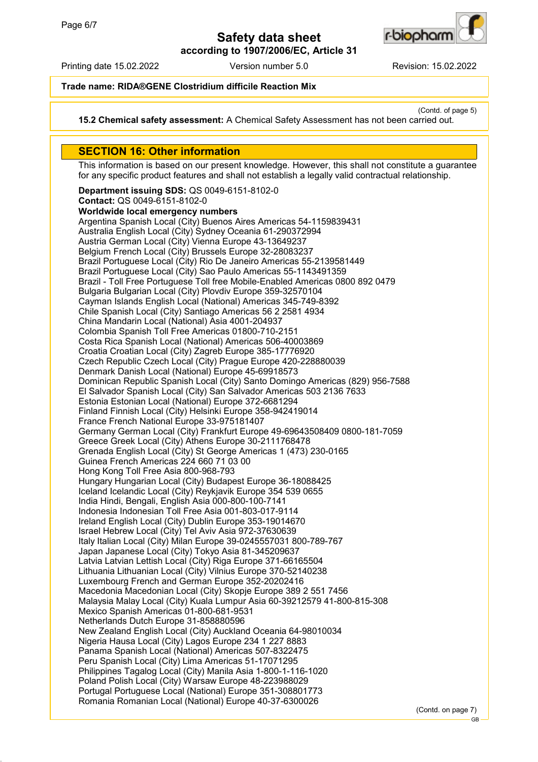

**according to 1907/2006/EC, Article 31**

Printing date 15.02.2022 Version number 5.0 Revision: 15.02.2022

**Trade name: RIDA®GENE Clostridium difficile Reaction Mix**

(Contd. of page 5)

**15.2 Chemical safety assessment:** A Chemical Safety Assessment has not been carried out.

## **SECTION 16: Other information**

This information is based on our present knowledge. However, this shall not constitute a guarantee for any specific product features and shall not establish a legally valid contractual relationship.

**Department issuing SDS:** QS 0049-6151-8102-0 **Contact:** QS 0049-6151-8102-0 **Worldwide local emergency numbers** Argentina Spanish Local (City) Buenos Aires Americas 54-1159839431 Australia English Local (City) Sydney Oceania 61-290372994 Austria German Local (City) Vienna Europe 43-13649237 Belgium French Local (City) Brussels Europe 32-28083237 Brazil Portuguese Local (City) Rio De Janeiro Americas 55-2139581449 Brazil Portuguese Local (City) Sao Paulo Americas 55-1143491359 Brazil - Toll Free Portuguese Toll free Mobile-Enabled Americas 0800 892 0479 Bulgaria Bulgarian Local (City) Plovdiv Europe 359-32570104 Cayman Islands English Local (National) Americas 345-749-8392 Chile Spanish Local (City) Santiago Americas 56 2 2581 4934 China Mandarin Local (National) Asia 4001-204937 Colombia Spanish Toll Free Americas 01800-710-2151 Costa Rica Spanish Local (National) Americas 506-40003869 Croatia Croatian Local (City) Zagreb Europe 385-17776920 Czech Republic Czech Local (City) Prague Europe 420-228880039 Denmark Danish Local (National) Europe 45-69918573 Dominican Republic Spanish Local (City) Santo Domingo Americas (829) 956-7588 El Salvador Spanish Local (City) San Salvador Americas 503 2136 7633 Estonia Estonian Local (National) Europe 372-6681294 Finland Finnish Local (City) Helsinki Europe 358-942419014 France French National Europe 33-975181407 Germany German Local (City) Frankfurt Europe 49-69643508409 0800-181-7059 Greece Greek Local (City) Athens Europe 30-2111768478 Grenada English Local (City) St George Americas 1 (473) 230-0165 Guinea French Americas 224 660 71 03 00 Hong Kong Toll Free Asia 800-968-793 Hungary Hungarian Local (City) Budapest Europe 36-18088425 Iceland Icelandic Local (City) Reykjavik Europe 354 539 0655 India Hindi, Bengali, English Asia 000-800-100-7141 Indonesia Indonesian Toll Free Asia 001-803-017-9114 Ireland English Local (City) Dublin Europe 353-19014670 Israel Hebrew Local (City) Tel Aviv Asia 972-37630639 Italy Italian Local (City) Milan Europe 39-0245557031 800-789-767 Japan Japanese Local (City) Tokyo Asia 81-345209637 Latvia Latvian Lettish Local (City) Riga Europe 371-66165504 Lithuania Lithuanian Local (City) Vilnius Europe 370-52140238 Luxembourg French and German Europe 352-20202416 Macedonia Macedonian Local (City) Skopje Europe 389 2 551 7456 Malaysia Malay Local (City) Kuala Lumpur Asia 60-39212579 41-800-815-308 Mexico Spanish Americas 01-800-681-9531 Netherlands Dutch Europe 31-858880596 New Zealand English Local (City) Auckland Oceania 64-98010034 Nigeria Hausa Local (City) Lagos Europe 234 1 227 8883 Panama Spanish Local (National) Americas 507-8322475 Peru Spanish Local (City) Lima Americas 51-17071295 Philippines Tagalog Local (City) Manila Asia 1-800-1-116-1020 Poland Polish Local (City) Warsaw Europe 48-223988029 Portugal Portuguese Local (National) Europe 351-308801773 Romania Romanian Local (National) Europe 40-37-6300026

(Contd. on page 7)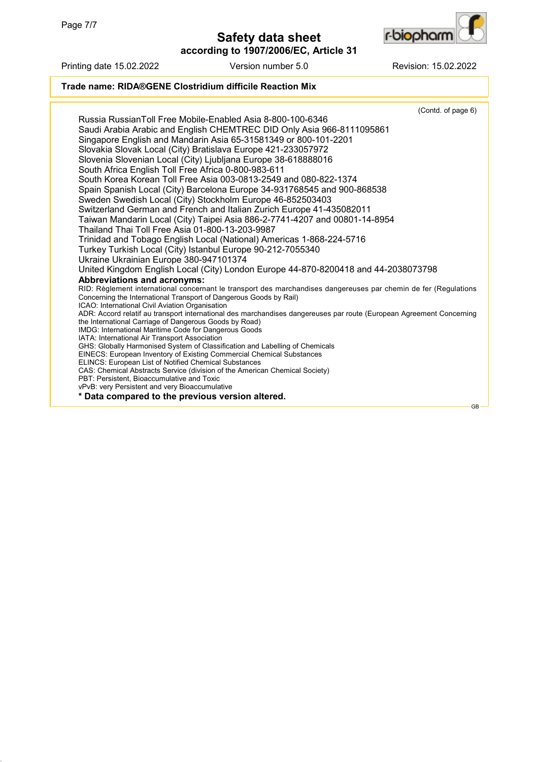

**according to 1907/2006/EC, Article 31**

Printing date 15.02.2022 Version number 5.0 Revision: 15.02.2022

# **Trade name: RIDA®GENE Clostridium difficile Reaction Mix**

|                                                                                                                      | (Contd. of page 6) |           |
|----------------------------------------------------------------------------------------------------------------------|--------------------|-----------|
| Russia RussianToll Free Mobile-Enabled Asia 8-800-100-6346                                                           |                    |           |
| Saudi Arabia Arabic and English CHEMTREC DID Only Asia 966-8111095861                                                |                    |           |
| Singapore English and Mandarin Asia 65-31581349 or 800-101-2201                                                      |                    |           |
| Slovakia Slovak Local (City) Bratislava Europe 421-233057972                                                         |                    |           |
| Slovenia Slovenian Local (City) Ljubljana Europe 38-618888016                                                        |                    |           |
| South Africa English Toll Free Africa 0-800-983-611                                                                  |                    |           |
|                                                                                                                      |                    |           |
| South Korea Korean Toll Free Asia 003-0813-2549 and 080-822-1374                                                     |                    |           |
| Spain Spanish Local (City) Barcelona Europe 34-931768545 and 900-868538                                              |                    |           |
| Sweden Swedish Local (City) Stockholm Europe 46-852503403                                                            |                    |           |
| Switzerland German and French and Italian Zurich Europe 41-435082011                                                 |                    |           |
| Taiwan Mandarin Local (City) Taipei Asia 886-2-7741-4207 and 00801-14-8954                                           |                    |           |
| Thailand Thai Toll Free Asia 01-800-13-203-9987                                                                      |                    |           |
| Trinidad and Tobago English Local (National) Americas 1-868-224-5716                                                 |                    |           |
| Turkey Turkish Local (City) Istanbul Europe 90-212-7055340                                                           |                    |           |
| Ukraine Ukrainian Europe 380-947101374                                                                               |                    |           |
| United Kingdom English Local (City) London Europe 44-870-8200418 and 44-2038073798                                   |                    |           |
| <b>Abbreviations and acronyms:</b>                                                                                   |                    |           |
| RID: Règlement international concernant le transport des marchandises dangereuses par chemin de fer (Regulations     |                    |           |
| Concerning the International Transport of Dangerous Goods by Rail)                                                   |                    |           |
| ICAO: International Civil Aviation Organisation                                                                      |                    |           |
| ADR: Accord relatif au transport international des marchandises dangereuses par route (European Agreement Concerning |                    |           |
| the International Carriage of Dangerous Goods by Road)<br>IMDG: International Maritime Code for Dangerous Goods      |                    |           |
| IATA: International Air Transport Association                                                                        |                    |           |
| GHS: Globally Harmonised System of Classification and Labelling of Chemicals                                         |                    |           |
| EINECS: European Inventory of Existing Commercial Chemical Substances                                                |                    |           |
| ELINCS: European List of Notified Chemical Substances                                                                |                    |           |
| CAS: Chemical Abstracts Service (division of the American Chemical Society)                                          |                    |           |
| PBT: Persistent, Bioaccumulative and Toxic                                                                           |                    |           |
| vPvB: very Persistent and very Bioaccumulative                                                                       |                    |           |
| Data compared to the previous version altered.                                                                       |                    |           |
|                                                                                                                      |                    | <b>GB</b> |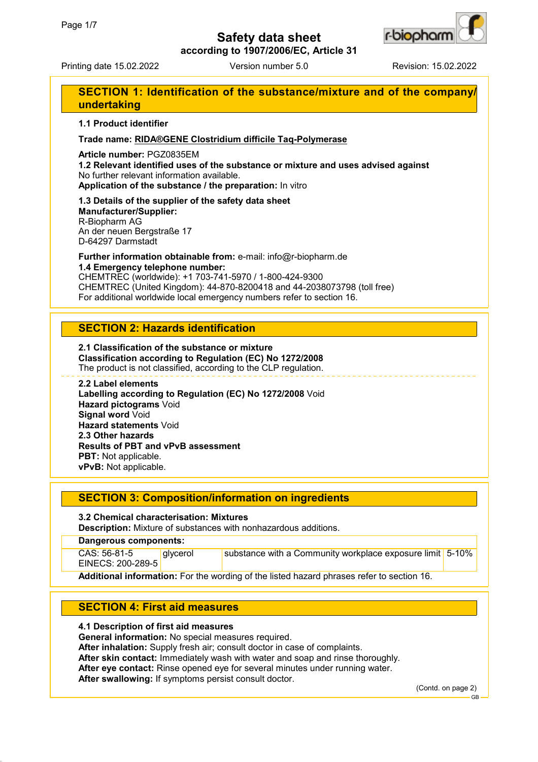

**according to 1907/2006/EC, Article 31**

Printing date 15.02.2022 Version number 5.0 Revision: 15.02.2022

# **SECTION 1: Identification of the substance/mixture and of the company/ undertaking**

### **1.1 Product identifier**

### **Trade name: RIDA®GENE Clostridium difficile Taq-Polymerase**

**Article number:** PGZ0835EM

**1.2 Relevant identified uses of the substance or mixture and uses advised against** No further relevant information available.

**Application of the substance / the preparation:** In vitro

**1.3 Details of the supplier of the safety data sheet Manufacturer/Supplier:** R-Biopharm AG An der neuen Bergstraße 17 D-64297 Darmstadt

**Further information obtainable from:** e-mail: info@r-biopharm.de **1.4 Emergency telephone number:**

CHEMTREC (worldwide): +1 703-741-5970 / 1-800-424-9300 CHEMTREC (United Kingdom): 44-870-8200418 and 44-2038073798 (toll free) For additional worldwide local emergency numbers refer to section 16.

## **SECTION 2: Hazards identification**

**2.1 Classification of the substance or mixture Classification according to Regulation (EC) No 1272/2008** The product is not classified, according to the CLP regulation.

### **2.2 Label elements**

**Labelling according to Regulation (EC) No 1272/2008** Void **Hazard pictograms** Void **Signal word** Void **Hazard statements** Void **2.3 Other hazards Results of PBT and vPvB assessment PBT:** Not applicable. **vPvB:** Not applicable.

## **SECTION 3: Composition/information on ingredients**

### **3.2 Chemical characterisation: Mixtures**

**Description:** Mixture of substances with nonhazardous additions.

### **Dangerous components:**

| CAS: 56-81-5      | <b>divcerol</b> | substance with a Community workplace exposure limit $\vert$ 5-10% $\vert$ |  |
|-------------------|-----------------|---------------------------------------------------------------------------|--|
| EINECS: 200-289-5 |                 |                                                                           |  |
|                   |                 |                                                                           |  |

**Additional information:** For the wording of the listed hazard phrases refer to section 16.

# **SECTION 4: First aid measures**

### **4.1 Description of first aid measures**

**General information:** No special measures required.

**After inhalation:** Supply fresh air; consult doctor in case of complaints.

**After skin contact:** Immediately wash with water and soap and rinse thoroughly.

**After eye contact:** Rinse opened eye for several minutes under running water.

**After swallowing:** If symptoms persist consult doctor.

(Contd. on page 2)

GB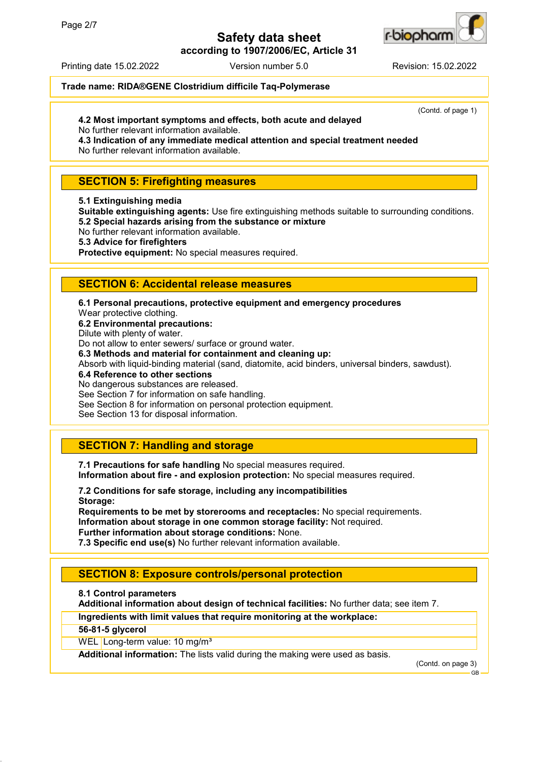

**according to 1907/2006/EC, Article 31**

Printing date 15.02.2022 Version number 5.0 Revision: 15.02.2022

(Contd. of page 1)

## **Trade name: RIDA®GENE Clostridium difficile Taq-Polymerase**

## **4.2 Most important symptoms and effects, both acute and delayed**

No further relevant information available.

**4.3 Indication of any immediate medical attention and special treatment needed** No further relevant information available.

## **SECTION 5: Firefighting measures**

**5.1 Extinguishing media**

**Suitable extinguishing agents:** Use fire extinguishing methods suitable to surrounding conditions. **5.2 Special hazards arising from the substance or mixture**

No further relevant information available.

**5.3 Advice for firefighters**

**Protective equipment:** No special measures required.

## **SECTION 6: Accidental release measures**

**6.1 Personal precautions, protective equipment and emergency procedures**

Wear protective clothing. **6.2 Environmental precautions:**

Dilute with plenty of water.

Do not allow to enter sewers/ surface or ground water.

**6.3 Methods and material for containment and cleaning up:**

Absorb with liquid-binding material (sand, diatomite, acid binders, universal binders, sawdust).

**6.4 Reference to other sections**

No dangerous substances are released.

See Section 7 for information on safe handling.

See Section 8 for information on personal protection equipment.

See Section 13 for disposal information.

# **SECTION 7: Handling and storage**

**7.1 Precautions for safe handling** No special measures required. **Information about fire - and explosion protection:** No special measures required.

**7.2 Conditions for safe storage, including any incompatibilities Storage:**

**Requirements to be met by storerooms and receptacles:** No special requirements. **Information about storage in one common storage facility:** Not required. **Further information about storage conditions:** None.

**7.3 Specific end use(s)** No further relevant information available.

# **SECTION 8: Exposure controls/personal protection**

**8.1 Control parameters**

**Additional information about design of technical facilities:** No further data; see item 7.

**Ingredients with limit values that require monitoring at the workplace:**

**56-81-5 glycerol**

WEL Long-term value: 10 mg/m<sup>3</sup>

**Additional information:** The lists valid during the making were used as basis.

(Contd. on page 3)

GB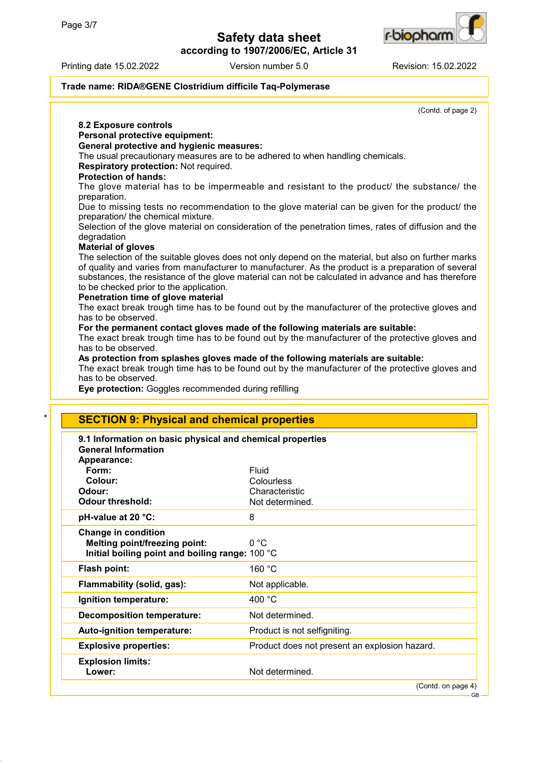**according to 1907/2006/EC, Article 31**



**8.2 Exposure controls**

**Personal protective equipment:**

(Contd. of page 2)

### **Trade name: RIDA®GENE Clostridium difficile Taq-Polymerase**

**General protective and hygienic measures:** The usual precautionary measures are to be adhered to when handling chemicals. **Respiratory protection:** Not required. **Protection of hands:** The glove material has to be impermeable and resistant to the product/ the substance/ the preparation. Due to missing tests no recommendation to the glove material can be given for the product/ the preparation/ the chemical mixture. Selection of the glove material on consideration of the penetration times, rates of diffusion and the degradation **Material of gloves** The selection of the suitable gloves does not only depend on the material, but also on further marks of quality and varies from manufacturer to manufacturer. As the product is a preparation of several substances, the resistance of the glove material can not be calculated in advance and has therefore to be checked prior to the application. **Penetration time of glove material** The exact break trough time has to be found out by the manufacturer of the protective gloves and has to be observed. **For the permanent contact gloves made of the following materials are suitable:** The exact break trough time has to be found out by the manufacturer of the protective gloves and has to be observed. **As protection from splashes gloves made of the following materials are suitable:** The exact break trough time has to be found out by the manufacturer of the protective gloves and has to be observed. **Eye protection:** Goggles recommended during refilling **SECTION 9: Physical and chemical properties 9.1 Information on basic physical and chemical properties General Information Appearance: Form:** Fluid Colour: Colour: **Colour:** Colourless **Odour:** Characteristic **Odour threshold:** Not determined. **pH-value at 20 °C:** 8 **Change in condition Melting point/freezing point:** 0 °C **Initial boiling point and boiling range:** 100 °C Flash point: 160 °C **Flammability (solid, gas):** Not applicable. **Ignition temperature:** 400 °C **Decomposition temperature:** Not determined. **Auto-ignition temperature:** Product is not selfigniting. **Explosive properties:** Product does not present an explosion hazard. **Explosion limits: Lower:** Not determined. (Contd. on page 4) GB

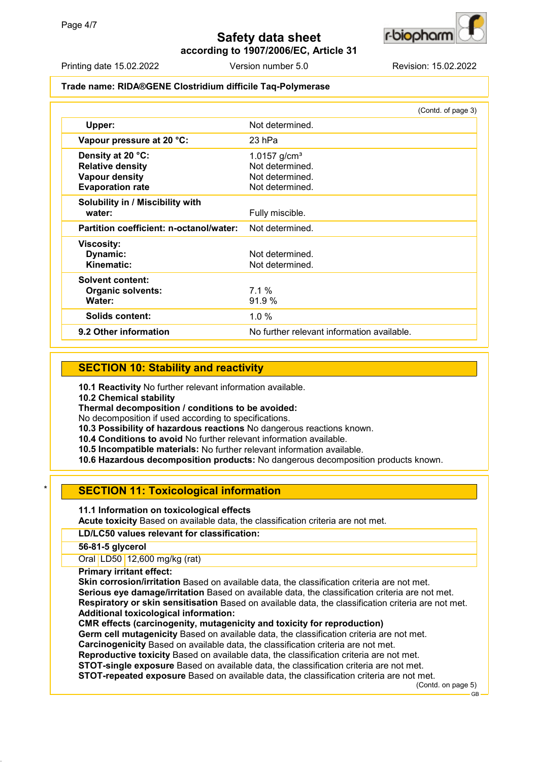

**according to 1907/2006/EC, Article 31**

Printing date 15.02.2022 Version number 5.0 Revision: 15.02.2022

### **Trade name: RIDA®GENE Clostridium difficile Taq-Polymerase**

|                                                                                                  | (Contd. of page 3)                                                         |
|--------------------------------------------------------------------------------------------------|----------------------------------------------------------------------------|
| Upper:                                                                                           | Not determined.                                                            |
| Vapour pressure at 20 °C:                                                                        | 23 hPa                                                                     |
| Density at 20 °C:<br><b>Relative density</b><br><b>Vapour density</b><br><b>Evaporation rate</b> | 1.0157 $g/cm^{3}$<br>Not determined.<br>Not determined.<br>Not determined. |
| Solubility in / Miscibility with<br>water:                                                       | Fully miscible.                                                            |
| Partition coefficient: n-octanol/water:                                                          | Not determined.                                                            |
| <b>Viscosity:</b><br>Dynamic:<br>Kinematic:                                                      | Not determined.<br>Not determined.                                         |
| Solvent content:<br><b>Organic solvents:</b><br>Water:                                           | 7.1%<br>91.9%                                                              |
| <b>Solids content:</b>                                                                           | $1.0 \%$                                                                   |
| 9.2 Other information                                                                            | No further relevant information available.                                 |

# **SECTION 10: Stability and reactivity**

**10.1 Reactivity** No further relevant information available.

**10.2 Chemical stability**

**Thermal decomposition / conditions to be avoided:**

No decomposition if used according to specifications.

**10.3 Possibility of hazardous reactions** No dangerous reactions known.

**10.4 Conditions to avoid** No further relevant information available.

**10.5 Incompatible materials:** No further relevant information available.

**10.6 Hazardous decomposition products:** No dangerous decomposition products known.

# **SECTION 11: Toxicological information**

### **11.1 Information on toxicological effects**

**Acute toxicity** Based on available data, the classification criteria are not met.

### **LD/LC50 values relevant for classification:**

**56-81-5 glycerol**

Oral LD50 12,600 mg/kg (rat)

**Primary irritant effect:**

**Skin corrosion/irritation** Based on available data, the classification criteria are not met. **Serious eye damage/irritation** Based on available data, the classification criteria are not met. **Respiratory or skin sensitisation** Based on available data, the classification criteria are not met. **Additional toxicological information:**

**CMR effects (carcinogenity, mutagenicity and toxicity for reproduction)**

**Germ cell mutagenicity** Based on available data, the classification criteria are not met. **Carcinogenicity** Based on available data, the classification criteria are not met.

**Reproductive toxicity** Based on available data, the classification criteria are not met.

**STOT-single exposure** Based on available data, the classification criteria are not met.

**STOT-repeated exposure** Based on available data, the classification criteria are not met.

(Contd. on page 5)

GB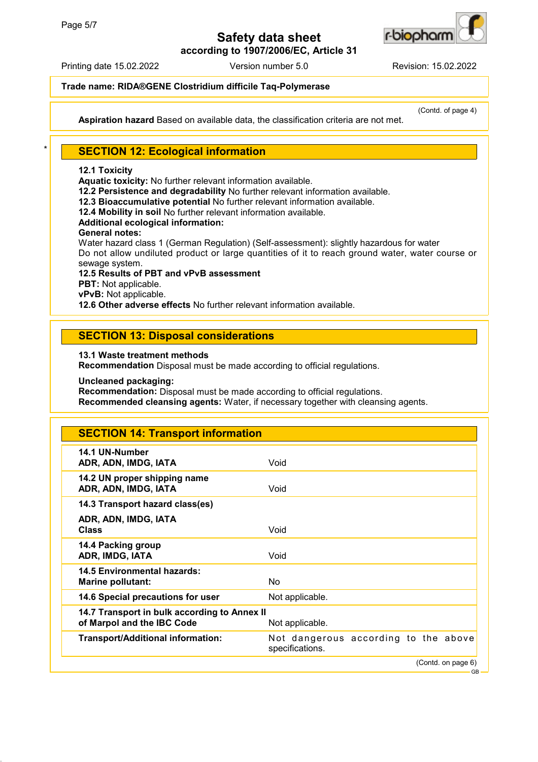

**according to 1907/2006/EC, Article 31**

Printing date 15.02.2022 Version number 5.0 Revision: 15.02.2022

## **Trade name: RIDA®GENE Clostridium difficile Taq-Polymerase**

**Aspiration hazard** Based on available data, the classification criteria are not met.

(Contd. of page 4)

# **SECTION 12: Ecological information**

### **12.1 Toxicity**

**Aquatic toxicity:** No further relevant information available.

**12.2 Persistence and degradability** No further relevant information available.

**12.3 Bioaccumulative potential** No further relevant information available.

**12.4 Mobility in soil** No further relevant information available.

### **Additional ecological information:**

**General notes:**

Water hazard class 1 (German Regulation) (Self-assessment): slightly hazardous for water Do not allow undiluted product or large quantities of it to reach ground water, water course or sewage system.

**12.5 Results of PBT and vPvB assessment PBT:** Not applicable. **vPvB:** Not applicable. **12.6 Other adverse effects** No further relevant information available.

# **SECTION 13: Disposal considerations**

**13.1 Waste treatment methods Recommendation** Disposal must be made according to official regulations.

**Uncleaned packaging:**

**Recommendation:** Disposal must be made according to official regulations.

**Recommended cleansing agents:** Water, if necessary together with cleansing agents.

| <b>SECTION 14: Transport information</b>                                   |                                                         |  |                    |
|----------------------------------------------------------------------------|---------------------------------------------------------|--|--------------------|
| 14.1 UN-Number<br>ADR, ADN, IMDG, IATA                                     | Void                                                    |  |                    |
| 14.2 UN proper shipping name<br>ADR, ADN, IMDG, IATA                       | Void                                                    |  |                    |
| 14.3 Transport hazard class(es)                                            |                                                         |  |                    |
| ADR, ADN, IMDG, IATA<br><b>Class</b>                                       | Void                                                    |  |                    |
| 14.4 Packing group<br>ADR, IMDG, IATA                                      | Void                                                    |  |                    |
| 14.5 Environmental hazards:<br><b>Marine pollutant:</b>                    | No                                                      |  |                    |
| 14.6 Special precautions for user                                          | Not applicable.                                         |  |                    |
| 14.7 Transport in bulk according to Annex II<br>of Marpol and the IBC Code | Not applicable.                                         |  |                    |
| <b>Transport/Additional information:</b>                                   | Not dangerous according to the above<br>specifications. |  |                    |
|                                                                            |                                                         |  | (Contd. on page 6) |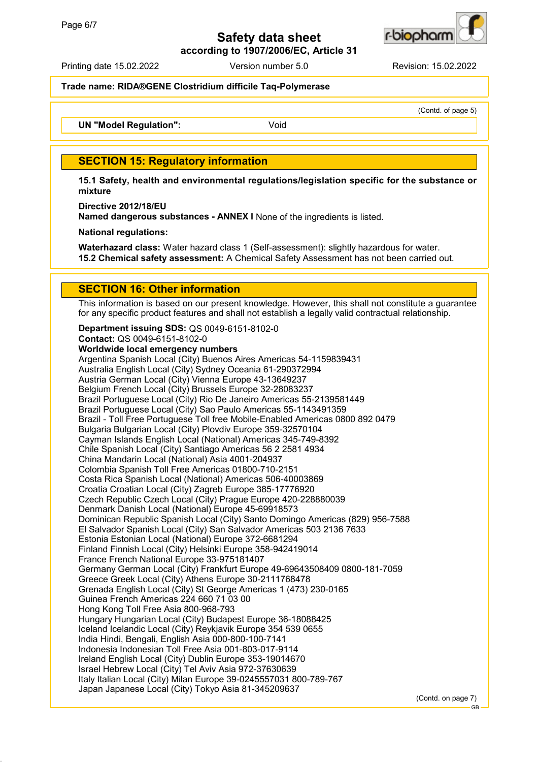

**according to 1907/2006/EC, Article 31**

Printing date 15.02.2022 Version number 5.0 Revision: 15.02.2022

**Trade name: RIDA®GENE Clostridium difficile Taq-Polymerase**

(Contd. of page 5)

**UN "Model Requlation":** Void

## **SECTION 15: Regulatory information**

**15.1 Safety, health and environmental regulations/legislation specific for the substance or mixture**

**Directive 2012/18/EU**

**Named dangerous substances - ANNEX I** None of the ingredients is listed.

**National regulations:**

**Waterhazard class:** Water hazard class 1 (Self-assessment): slightly hazardous for water. **15.2 Chemical safety assessment:** A Chemical Safety Assessment has not been carried out.

## **SECTION 16: Other information**

This information is based on our present knowledge. However, this shall not constitute a guarantee for any specific product features and shall not establish a legally valid contractual relationship.

**Department issuing SDS:** QS 0049-6151-8102-0 **Contact:** QS 0049-6151-8102-0

**Worldwide local emergency numbers** Argentina Spanish Local (City) Buenos Aires Americas 54-1159839431 Australia English Local (City) Sydney Oceania 61-290372994 Austria German Local (City) Vienna Europe 43-13649237 Belgium French Local (City) Brussels Europe 32-28083237 Brazil Portuguese Local (City) Rio De Janeiro Americas 55-2139581449 Brazil Portuguese Local (City) Sao Paulo Americas 55-1143491359 Brazil - Toll Free Portuguese Toll free Mobile-Enabled Americas 0800 892 0479 Bulgaria Bulgarian Local (City) Plovdiv Europe 359-32570104 Cayman Islands English Local (National) Americas 345-749-8392 Chile Spanish Local (City) Santiago Americas 56 2 2581 4934 China Mandarin Local (National) Asia 4001-204937 Colombia Spanish Toll Free Americas 01800-710-2151 Costa Rica Spanish Local (National) Americas 506-40003869 Croatia Croatian Local (City) Zagreb Europe 385-17776920 Czech Republic Czech Local (City) Prague Europe 420-228880039 Denmark Danish Local (National) Europe 45-69918573 Dominican Republic Spanish Local (City) Santo Domingo Americas (829) 956-7588 El Salvador Spanish Local (City) San Salvador Americas 503 2136 7633 Estonia Estonian Local (National) Europe 372-6681294 Finland Finnish Local (City) Helsinki Europe 358-942419014 France French National Europe 33-975181407 Germany German Local (City) Frankfurt Europe 49-69643508409 0800-181-7059 Greece Greek Local (City) Athens Europe 30-2111768478 Grenada English Local (City) St George Americas 1 (473) 230-0165 Guinea French Americas 224 660 71 03 00 Hong Kong Toll Free Asia 800-968-793 Hungary Hungarian Local (City) Budapest Europe 36-18088425 Iceland Icelandic Local (City) Reykjavik Europe 354 539 0655 India Hindi, Bengali, English Asia 000-800-100-7141 Indonesia Indonesian Toll Free Asia 001-803-017-9114 Ireland English Local (City) Dublin Europe 353-19014670 Israel Hebrew Local (City) Tel Aviv Asia 972-37630639 Italy Italian Local (City) Milan Europe 39-0245557031 800-789-767 Japan Japanese Local (City) Tokyo Asia 81-345209637

(Contd. on page 7)

GB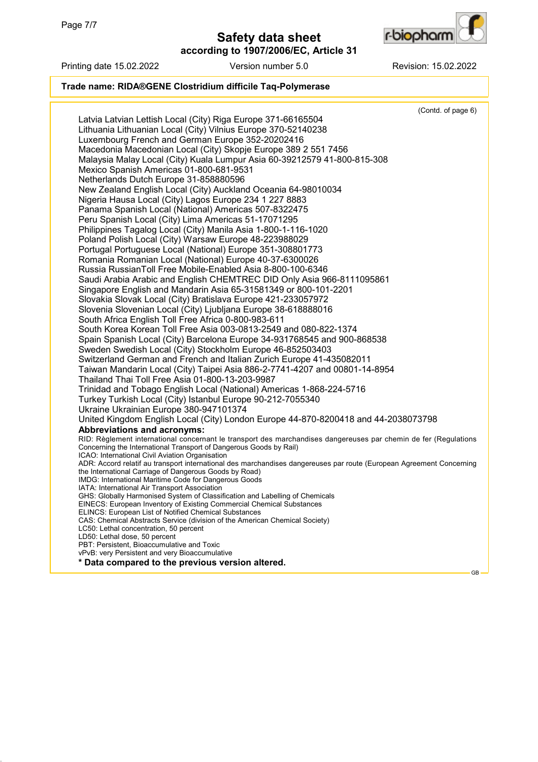



## Printing date 15.02.2022 Version number 5.0 Revision: 15.02.2022

## **Trade name: RIDA®GENE Clostridium difficile Taq-Polymerase**

|                                                                                                                               | (Contd. of page 6) |  |
|-------------------------------------------------------------------------------------------------------------------------------|--------------------|--|
| Latvia Latvian Lettish Local (City) Riga Europe 371-66165504                                                                  |                    |  |
| Lithuania Lithuanian Local (City) Vilnius Europe 370-52140238                                                                 |                    |  |
| Luxembourg French and German Europe 352-20202416                                                                              |                    |  |
| Macedonia Macedonian Local (City) Skopje Europe 389 2 551 7456                                                                |                    |  |
| Malaysia Malay Local (City) Kuala Lumpur Asia 60-39212579 41-800-815-308                                                      |                    |  |
|                                                                                                                               |                    |  |
| Mexico Spanish Americas 01-800-681-9531                                                                                       |                    |  |
| Netherlands Dutch Europe 31-858880596                                                                                         |                    |  |
| New Zealand English Local (City) Auckland Oceania 64-98010034                                                                 |                    |  |
| Nigeria Hausa Local (City) Lagos Europe 234 1 227 8883                                                                        |                    |  |
| Panama Spanish Local (National) Americas 507-8322475                                                                          |                    |  |
| Peru Spanish Local (City) Lima Americas 51-17071295                                                                           |                    |  |
| Philippines Tagalog Local (City) Manila Asia 1-800-1-116-1020                                                                 |                    |  |
| Poland Polish Local (City) Warsaw Europe 48-223988029                                                                         |                    |  |
| Portugal Portuguese Local (National) Europe 351-308801773                                                                     |                    |  |
| Romania Romanian Local (National) Europe 40-37-6300026                                                                        |                    |  |
| Russia RussianToll Free Mobile-Enabled Asia 8-800-100-6346                                                                    |                    |  |
| Saudi Arabia Arabic and English CHEMTREC DID Only Asia 966-8111095861                                                         |                    |  |
|                                                                                                                               |                    |  |
| Singapore English and Mandarin Asia 65-31581349 or 800-101-2201                                                               |                    |  |
| Slovakia Slovak Local (City) Bratislava Europe 421-233057972                                                                  |                    |  |
| Slovenia Slovenian Local (City) Ljubljana Europe 38-618888016                                                                 |                    |  |
| South Africa English Toll Free Africa 0-800-983-611                                                                           |                    |  |
| South Korea Korean Toll Free Asia 003-0813-2549 and 080-822-1374                                                              |                    |  |
| Spain Spanish Local (City) Barcelona Europe 34-931768545 and 900-868538                                                       |                    |  |
| Sweden Swedish Local (City) Stockholm Europe 46-852503403                                                                     |                    |  |
| Switzerland German and French and Italian Zurich Europe 41-435082011                                                          |                    |  |
| Taiwan Mandarin Local (City) Taipei Asia 886-2-7741-4207 and 00801-14-8954                                                    |                    |  |
| Thailand Thai Toll Free Asia 01-800-13-203-9987                                                                               |                    |  |
| Trinidad and Tobago English Local (National) Americas 1-868-224-5716                                                          |                    |  |
| Turkey Turkish Local (City) Istanbul Europe 90-212-7055340                                                                    |                    |  |
| Ukraine Ukrainian Europe 380-947101374                                                                                        |                    |  |
| United Kingdom English Local (City) London Europe 44-870-8200418 and 44-2038073798                                            |                    |  |
| Abbreviations and acronyms:                                                                                                   |                    |  |
| RID: Règlement international concernant le transport des marchandises dangereuses par chemin de fer (Regulations              |                    |  |
| Concerning the International Transport of Dangerous Goods by Rail)                                                            |                    |  |
| ICAO: International Civil Aviation Organisation                                                                               |                    |  |
| ADR: Accord relatif au transport international des marchandises dangereuses par route (European Agreement Concerning          |                    |  |
| the International Carriage of Dangerous Goods by Road)                                                                        |                    |  |
| IMDG: International Maritime Code for Dangerous Goods                                                                         |                    |  |
| IATA: International Air Transport Association<br>GHS: Globally Harmonised System of Classification and Labelling of Chemicals |                    |  |
| <b>EINECS: European Inventory of Existing Commercial Chemical Substances</b>                                                  |                    |  |
| <b>ELINCS: European List of Notified Chemical Substances</b>                                                                  |                    |  |
| CAS: Chemical Abstracts Service (division of the American Chemical Society)                                                   |                    |  |
| LC50: Lethal concentration, 50 percent                                                                                        |                    |  |
| LD50: Lethal dose, 50 percent                                                                                                 |                    |  |
| PBT: Persistent, Bioaccumulative and Toxic                                                                                    |                    |  |
| vPvB: very Persistent and very Bioaccumulative                                                                                |                    |  |
| * Data compared to the previous version altered.                                                                              |                    |  |
|                                                                                                                               | <b>GB</b>          |  |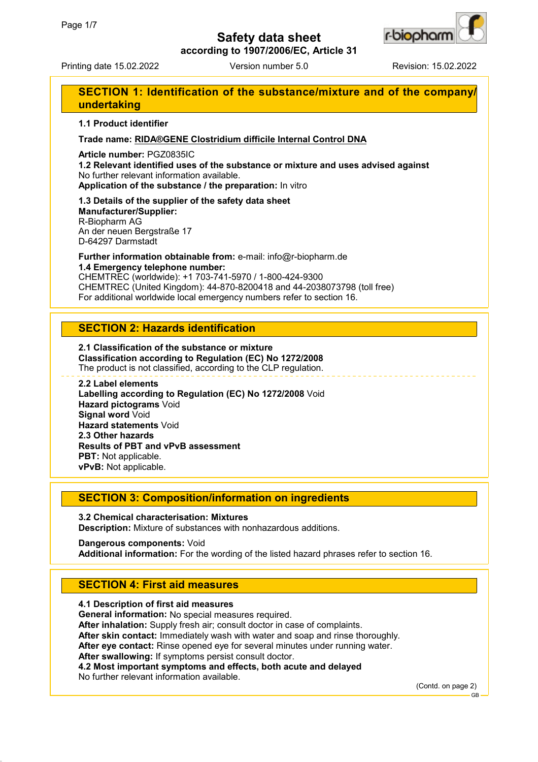

**according to 1907/2006/EC, Article 31**

Printing date 15.02.2022 Version number 5.0 Revision: 15.02.2022

# **SECTION 1: Identification of the substance/mixture and of the company/ undertaking**

### **1.1 Product identifier**

### **Trade name: RIDA®GENE Clostridium difficile Internal Control DNA**

**Article number:** PGZ0835IC

**1.2 Relevant identified uses of the substance or mixture and uses advised against** No further relevant information available.

**Application of the substance / the preparation:** In vitro

**1.3 Details of the supplier of the safety data sheet Manufacturer/Supplier:** R-Biopharm AG An der neuen Bergstraße 17 D-64297 Darmstadt

**Further information obtainable from:** e-mail: info@r-biopharm.de **1.4 Emergency telephone number:**

CHEMTREC (worldwide): +1 703-741-5970 / 1-800-424-9300 CHEMTREC (United Kingdom): 44-870-8200418 and 44-2038073798 (toll free) For additional worldwide local emergency numbers refer to section 16.

## **SECTION 2: Hazards identification**

**2.1 Classification of the substance or mixture Classification according to Regulation (EC) No 1272/2008** The product is not classified, according to the CLP regulation.

#### **2.2 Label elements**

**Labelling according to Regulation (EC) No 1272/2008** Void **Hazard pictograms** Void **Signal word** Void **Hazard statements** Void **2.3 Other hazards Results of PBT and vPvB assessment PBT:** Not applicable. **vPvB:** Not applicable.

## **SECTION 3: Composition/information on ingredients**

**3.2 Chemical characterisation: Mixtures Description:** Mixture of substances with nonhazardous additions.

**Dangerous components:** Void **Additional information:** For the wording of the listed hazard phrases refer to section 16.

# **SECTION 4: First aid measures**

**4.1 Description of first aid measures General information:** No special measures required. **After inhalation:** Supply fresh air; consult doctor in case of complaints. **After skin contact:** Immediately wash with water and soap and rinse thoroughly. **After eye contact:** Rinse opened eye for several minutes under running water. **After swallowing:** If symptoms persist consult doctor. **4.2 Most important symptoms and effects, both acute and delayed** No further relevant information available.

(Contd. on page 2)

GB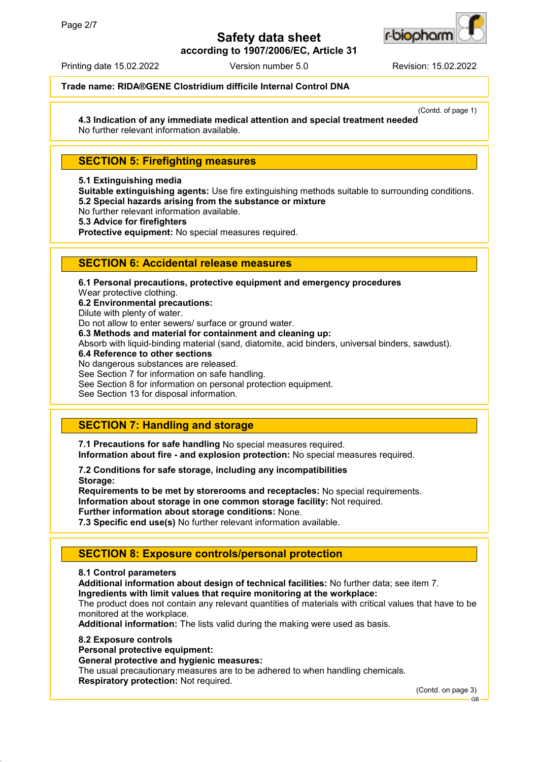

**according to 1907/2006/EC, Article 31**

Printing date 15.02.2022 Version number 5.0 Revision: 15.02.2022

### **Trade name: RIDA®GENE Clostridium difficile Internal Control DNA**

(Contd. of page 1)

**4.3 Indication of any immediate medical attention and special treatment needed** No further relevant information available.

## **SECTION 5: Firefighting measures**

### **5.1 Extinguishing media**

**Suitable extinguishing agents:** Use fire extinguishing methods suitable to surrounding conditions. **5.2 Special hazards arising from the substance or mixture**

No further relevant information available.

**5.3 Advice for firefighters**

**Protective equipment:** No special measures required.

## **SECTION 6: Accidental release measures**

**6.1 Personal precautions, protective equipment and emergency procedures** Wear protective clothing. **6.2 Environmental precautions:** Dilute with plenty of water. Do not allow to enter sewers/ surface or ground water. **6.3 Methods and material for containment and cleaning up:** Absorb with liquid-binding material (sand, diatomite, acid binders, universal binders, sawdust). **6.4 Reference to other sections** No dangerous substances are released. See Section 7 for information on safe handling. See Section 8 for information on personal protection equipment. See Section 13 for disposal information.

# **SECTION 7: Handling and storage**

**7.1 Precautions for safe handling** No special measures required. **Information about fire - and explosion protection:** No special measures required.

**7.2 Conditions for safe storage, including any incompatibilities Storage:**

**Requirements to be met by storerooms and receptacles:** No special requirements. **Information about storage in one common storage facility:** Not required. **Further information about storage conditions:** None.

**7.3 Specific end use(s)** No further relevant information available.

# **SECTION 8: Exposure controls/personal protection**

### **8.1 Control parameters**

**Additional information about design of technical facilities:** No further data; see item 7. **Ingredients with limit values that require monitoring at the workplace:**

The product does not contain any relevant quantities of materials with critical values that have to be monitored at the workplace.

**Additional information:** The lists valid during the making were used as basis.

### **8.2 Exposure controls**

**Personal protective equipment:**

## **General protective and hygienic measures:**

The usual precautionary measures are to be adhered to when handling chemicals. **Respiratory protection:** Not required.

(Contd. on page 3)

GB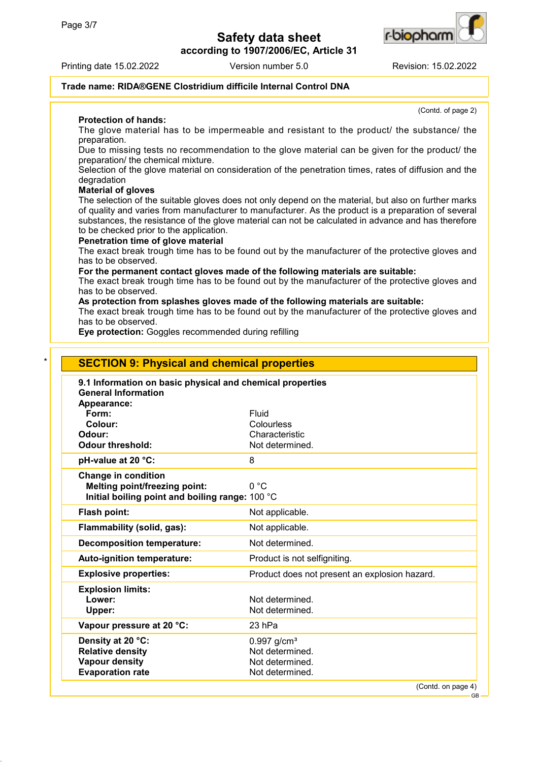**according to 1907/2006/EC, Article 31**





r-b**io**ohan

### **Trade name: RIDA®GENE Clostridium difficile Internal Control DNA**

**Protection of hands:**

(Contd. of page 2)

GB

The glove material has to be impermeable and resistant to the product/ the substance/ the preparation.

Due to missing tests no recommendation to the glove material can be given for the product/ the preparation/ the chemical mixture.

Selection of the glove material on consideration of the penetration times, rates of diffusion and the degradation

### **Material of gloves**

The selection of the suitable gloves does not only depend on the material, but also on further marks of quality and varies from manufacturer to manufacturer. As the product is a preparation of several substances, the resistance of the glove material can not be calculated in advance and has therefore to be checked prior to the application.

### **Penetration time of glove material**

The exact break trough time has to be found out by the manufacturer of the protective gloves and has to be observed.

**For the permanent contact gloves made of the following materials are suitable:**

The exact break trough time has to be found out by the manufacturer of the protective gloves and has to be observed.

**As protection from splashes gloves made of the following materials are suitable:**

The exact break trough time has to be found out by the manufacturer of the protective gloves and has to be observed.

**Eye protection:** Goggles recommended during refilling

| Appearance:<br>Form:<br>Fluid<br>Colour:<br>Colourless<br>Odour:<br>Characteristic<br><b>Odour threshold:</b><br>Not determined.<br>pH-value at 20 °C:<br>8<br><b>Change in condition</b><br>0 °C<br><b>Melting point/freezing point:</b><br>Initial boiling point and boiling range: 100 °C<br>Flash point:<br>Not applicable.<br>Flammability (solid, gas):<br>Not applicable.<br>Not determined.<br><b>Decomposition temperature:</b><br>Auto-ignition temperature:<br>Product is not selfigniting.<br><b>Explosive properties:</b><br>Product does not present an explosion hazard.<br>Lower:<br>Not determined.<br>Not determined.<br>Upper:<br>23 hPa<br>$0.997$ g/cm <sup>3</sup><br><b>Relative density</b><br>Not determined. | 9.1 Information on basic physical and chemical properties<br><b>General Information</b> |                 |
|----------------------------------------------------------------------------------------------------------------------------------------------------------------------------------------------------------------------------------------------------------------------------------------------------------------------------------------------------------------------------------------------------------------------------------------------------------------------------------------------------------------------------------------------------------------------------------------------------------------------------------------------------------------------------------------------------------------------------------------|-----------------------------------------------------------------------------------------|-----------------|
|                                                                                                                                                                                                                                                                                                                                                                                                                                                                                                                                                                                                                                                                                                                                        |                                                                                         |                 |
|                                                                                                                                                                                                                                                                                                                                                                                                                                                                                                                                                                                                                                                                                                                                        |                                                                                         |                 |
|                                                                                                                                                                                                                                                                                                                                                                                                                                                                                                                                                                                                                                                                                                                                        |                                                                                         |                 |
|                                                                                                                                                                                                                                                                                                                                                                                                                                                                                                                                                                                                                                                                                                                                        |                                                                                         |                 |
|                                                                                                                                                                                                                                                                                                                                                                                                                                                                                                                                                                                                                                                                                                                                        |                                                                                         |                 |
|                                                                                                                                                                                                                                                                                                                                                                                                                                                                                                                                                                                                                                                                                                                                        |                                                                                         |                 |
|                                                                                                                                                                                                                                                                                                                                                                                                                                                                                                                                                                                                                                                                                                                                        |                                                                                         |                 |
|                                                                                                                                                                                                                                                                                                                                                                                                                                                                                                                                                                                                                                                                                                                                        |                                                                                         |                 |
|                                                                                                                                                                                                                                                                                                                                                                                                                                                                                                                                                                                                                                                                                                                                        |                                                                                         |                 |
|                                                                                                                                                                                                                                                                                                                                                                                                                                                                                                                                                                                                                                                                                                                                        |                                                                                         |                 |
|                                                                                                                                                                                                                                                                                                                                                                                                                                                                                                                                                                                                                                                                                                                                        |                                                                                         |                 |
|                                                                                                                                                                                                                                                                                                                                                                                                                                                                                                                                                                                                                                                                                                                                        |                                                                                         |                 |
|                                                                                                                                                                                                                                                                                                                                                                                                                                                                                                                                                                                                                                                                                                                                        |                                                                                         |                 |
|                                                                                                                                                                                                                                                                                                                                                                                                                                                                                                                                                                                                                                                                                                                                        |                                                                                         |                 |
| Vapour pressure at 20 °C:<br>Density at 20 °C:                                                                                                                                                                                                                                                                                                                                                                                                                                                                                                                                                                                                                                                                                         | <b>Explosion limits:</b>                                                                |                 |
|                                                                                                                                                                                                                                                                                                                                                                                                                                                                                                                                                                                                                                                                                                                                        |                                                                                         |                 |
|                                                                                                                                                                                                                                                                                                                                                                                                                                                                                                                                                                                                                                                                                                                                        |                                                                                         |                 |
|                                                                                                                                                                                                                                                                                                                                                                                                                                                                                                                                                                                                                                                                                                                                        |                                                                                         |                 |
|                                                                                                                                                                                                                                                                                                                                                                                                                                                                                                                                                                                                                                                                                                                                        |                                                                                         |                 |
|                                                                                                                                                                                                                                                                                                                                                                                                                                                                                                                                                                                                                                                                                                                                        |                                                                                         |                 |
|                                                                                                                                                                                                                                                                                                                                                                                                                                                                                                                                                                                                                                                                                                                                        | <b>Vapour density</b>                                                                   | Not determined. |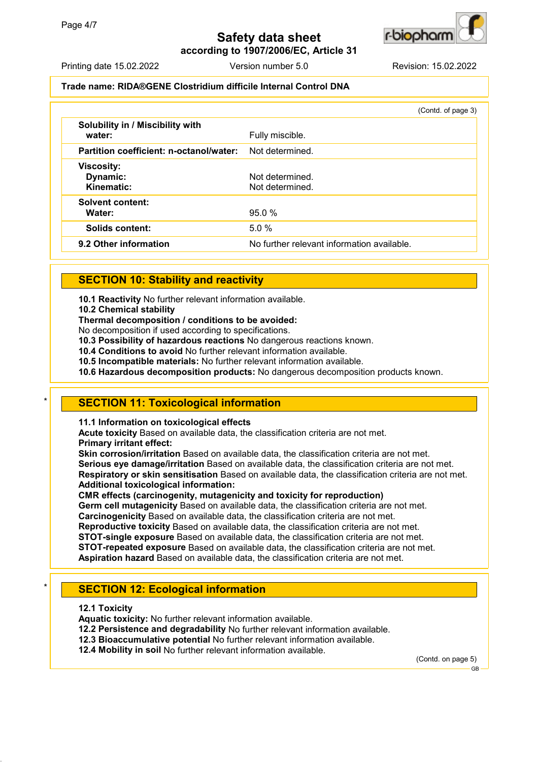



Printing date 15.02.2022 Version number 5.0 Revision: 15.02.2022

### **Trade name: RIDA®GENE Clostridium difficile Internal Control DNA**

|                                             | (Contd. of page 3)                         |
|---------------------------------------------|--------------------------------------------|
| Solubility in / Miscibility with<br>water:  | Fully miscible.                            |
| Partition coefficient: n-octanol/water:     | Not determined.                            |
| <b>Viscosity:</b><br>Dynamic:<br>Kinematic: | Not determined.<br>Not determined.         |
| <b>Solvent content:</b><br>Water:           | 95.0%                                      |
| Solids content:                             | 5.0%                                       |
| 9.2 Other information                       | No further relevant information available. |

# **SECTION 10: Stability and reactivity**

**10.1 Reactivity** No further relevant information available.

**10.2 Chemical stability**

**Thermal decomposition / conditions to be avoided:**

No decomposition if used according to specifications.

**10.3 Possibility of hazardous reactions** No dangerous reactions known.

**10.4 Conditions to avoid** No further relevant information available.

**10.5 Incompatible materials:** No further relevant information available.

**10.6 Hazardous decomposition products:** No dangerous decomposition products known.

## **SECTION 11: Toxicological information**

**11.1 Information on toxicological effects**

**Acute toxicity** Based on available data, the classification criteria are not met. **Primary irritant effect:**

**Skin corrosion/irritation** Based on available data, the classification criteria are not met. **Serious eye damage/irritation** Based on available data, the classification criteria are not met. **Respiratory or skin sensitisation** Based on available data, the classification criteria are not met. **Additional toxicological information:**

**CMR effects (carcinogenity, mutagenicity and toxicity for reproduction)**

**Germ cell mutagenicity** Based on available data, the classification criteria are not met. **Carcinogenicity** Based on available data, the classification criteria are not met.

**Reproductive toxicity** Based on available data, the classification criteria are not met.

**STOT-single exposure** Based on available data, the classification criteria are not met.

**STOT-repeated exposure** Based on available data, the classification criteria are not met.

**Aspiration hazard** Based on available data, the classification criteria are not met.

# **SECTION 12: Ecological information**

**12.1 Toxicity**

**Aquatic toxicity:** No further relevant information available.

**12.2 Persistence and degradability** No further relevant information available.

**12.3 Bioaccumulative potential** No further relevant information available.

**12.4 Mobility in soil** No further relevant information available.

(Contd. on page 5)

GB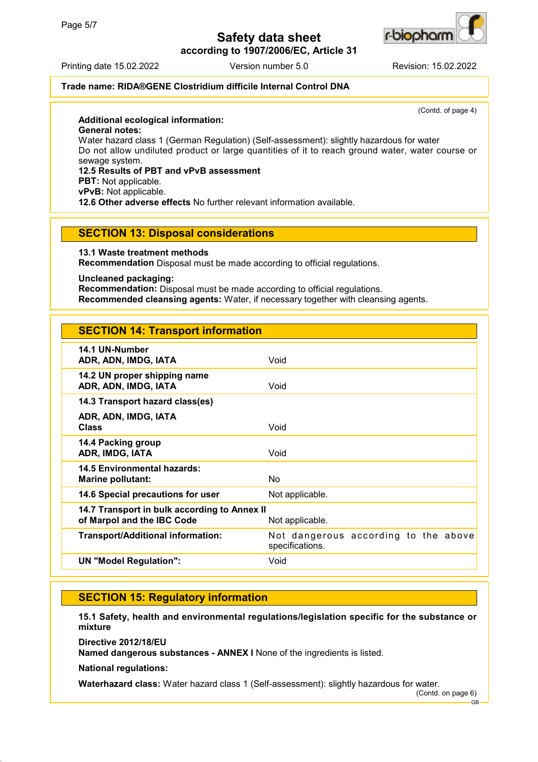

**according to 1907/2006/EC, Article 31**

Printing date 15.02.2022 Version number 5.0 Revision: 15.02.2022

## **Trade name: RIDA®GENE Clostridium difficile Internal Control DNA**

(Contd. of page 4)

### **Additional ecological information:**

**General notes:**

Water hazard class 1 (German Regulation) (Self-assessment): slightly hazardous for water Do not allow undiluted product or large quantities of it to reach ground water, water course or sewage system.

## **12.5 Results of PBT and vPvB assessment**

**PBT:** Not applicable.

**vPvB:** Not applicable.

**12.6 Other adverse effects** No further relevant information available.

## **SECTION 13: Disposal considerations**

**13.1 Waste treatment methods**

**Recommendation** Disposal must be made according to official regulations.

**Uncleaned packaging:**

**Recommendation:** Disposal must be made according to official regulations. **Recommended cleansing agents:** Water, if necessary together with cleansing agents.

# **SECTION 14: Transport information**

| 14.1 UN-Number<br>ADR, ADN, IMDG, IATA                                     | Void                                                    |
|----------------------------------------------------------------------------|---------------------------------------------------------|
| 14.2 UN proper shipping name<br>ADR, ADN, IMDG, IATA                       | Void                                                    |
| 14.3 Transport hazard class(es)                                            |                                                         |
| ADR, ADN, IMDG, IATA<br><b>Class</b>                                       | Void                                                    |
| 14.4 Packing group<br>ADR, IMDG, IATA                                      | Void                                                    |
| 14.5 Environmental hazards:<br>Marine pollutant:                           | No                                                      |
| 14.6 Special precautions for user                                          | Not applicable.                                         |
| 14.7 Transport in bulk according to Annex II<br>of Marpol and the IBC Code | Not applicable.                                         |
| <b>Transport/Additional information:</b>                                   | Not dangerous according to the above<br>specifications. |
| <b>UN "Model Regulation":</b>                                              | Void                                                    |
|                                                                            |                                                         |

## **SECTION 15: Regulatory information**

**15.1 Safety, health and environmental regulations/legislation specific for the substance or mixture**

**Directive 2012/18/EU**

**Named dangerous substances - ANNEX I** None of the ingredients is listed.

**National regulations:**

**Waterhazard class:** Water hazard class 1 (Self-assessment): slightly hazardous for water.

(Contd. on page 6)

GB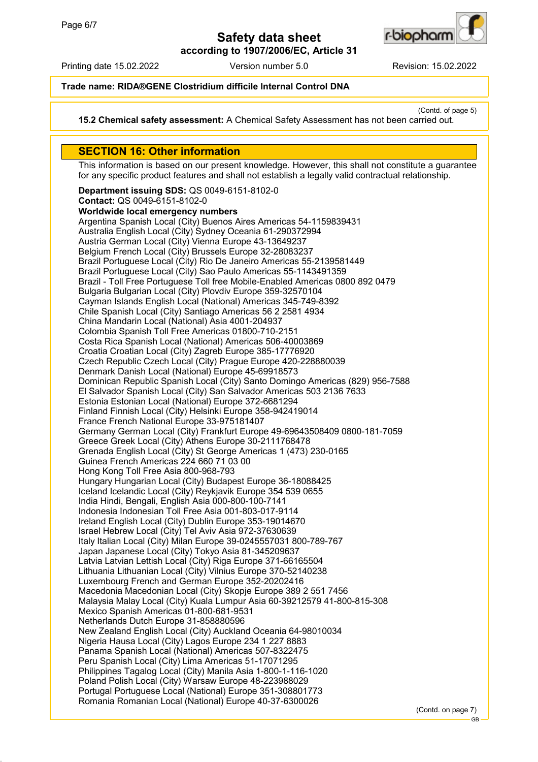

**according to 1907/2006/EC, Article 31**

Printing date 15.02.2022 Version number 5.0 Revision: 15.02.2022

## **Trade name: RIDA®GENE Clostridium difficile Internal Control DNA**

(Contd. of page 5)

**15.2 Chemical safety assessment:** A Chemical Safety Assessment has not been carried out.

## **SECTION 16: Other information**

This information is based on our present knowledge. However, this shall not constitute a guarantee for any specific product features and shall not establish a legally valid contractual relationship.

**Department issuing SDS:** QS 0049-6151-8102-0 **Contact:** QS 0049-6151-8102-0 **Worldwide local emergency numbers** Argentina Spanish Local (City) Buenos Aires Americas 54-1159839431 Australia English Local (City) Sydney Oceania 61-290372994 Austria German Local (City) Vienna Europe 43-13649237 Belgium French Local (City) Brussels Europe 32-28083237 Brazil Portuguese Local (City) Rio De Janeiro Americas 55-2139581449 Brazil Portuguese Local (City) Sao Paulo Americas 55-1143491359 Brazil - Toll Free Portuguese Toll free Mobile-Enabled Americas 0800 892 0479 Bulgaria Bulgarian Local (City) Plovdiv Europe 359-32570104 Cayman Islands English Local (National) Americas 345-749-8392 Chile Spanish Local (City) Santiago Americas 56 2 2581 4934 China Mandarin Local (National) Asia 4001-204937 Colombia Spanish Toll Free Americas 01800-710-2151 Costa Rica Spanish Local (National) Americas 506-40003869 Croatia Croatian Local (City) Zagreb Europe 385-17776920 Czech Republic Czech Local (City) Prague Europe 420-228880039 Denmark Danish Local (National) Europe 45-69918573 Dominican Republic Spanish Local (City) Santo Domingo Americas (829) 956-7588 El Salvador Spanish Local (City) San Salvador Americas 503 2136 7633 Estonia Estonian Local (National) Europe 372-6681294 Finland Finnish Local (City) Helsinki Europe 358-942419014 France French National Europe 33-975181407 Germany German Local (City) Frankfurt Europe 49-69643508409 0800-181-7059 Greece Greek Local (City) Athens Europe 30-2111768478 Grenada English Local (City) St George Americas 1 (473) 230-0165 Guinea French Americas 224 660 71 03 00 Hong Kong Toll Free Asia 800-968-793 Hungary Hungarian Local (City) Budapest Europe 36-18088425 Iceland Icelandic Local (City) Reykjavik Europe 354 539 0655 India Hindi, Bengali, English Asia 000-800-100-7141 Indonesia Indonesian Toll Free Asia 001-803-017-9114 Ireland English Local (City) Dublin Europe 353-19014670 Israel Hebrew Local (City) Tel Aviv Asia 972-37630639 Italy Italian Local (City) Milan Europe 39-0245557031 800-789-767 Japan Japanese Local (City) Tokyo Asia 81-345209637 Latvia Latvian Lettish Local (City) Riga Europe 371-66165504 Lithuania Lithuanian Local (City) Vilnius Europe 370-52140238 Luxembourg French and German Europe 352-20202416 Macedonia Macedonian Local (City) Skopje Europe 389 2 551 7456 Malaysia Malay Local (City) Kuala Lumpur Asia 60-39212579 41-800-815-308 Mexico Spanish Americas 01-800-681-9531 Netherlands Dutch Europe 31-858880596 New Zealand English Local (City) Auckland Oceania 64-98010034 Nigeria Hausa Local (City) Lagos Europe 234 1 227 8883 Panama Spanish Local (National) Americas 507-8322475 Peru Spanish Local (City) Lima Americas 51-17071295 Philippines Tagalog Local (City) Manila Asia 1-800-1-116-1020 Poland Polish Local (City) Warsaw Europe 48-223988029 Portugal Portuguese Local (National) Europe 351-308801773 Romania Romanian Local (National) Europe 40-37-6300026